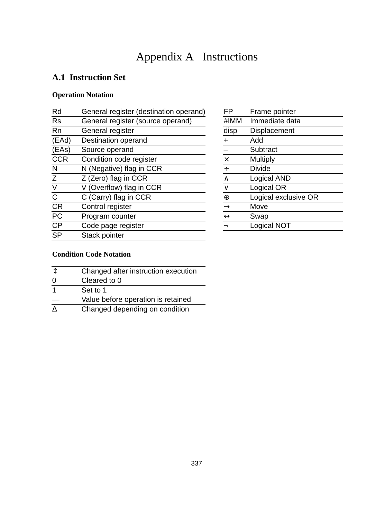# Appendix A Instructions

# **A.1 Instruction Set**

## **Operation Notation**

| Rd           | General register (destination operand) | <b>FP</b>         | Frame pointer        |
|--------------|----------------------------------------|-------------------|----------------------|
| <b>Rs</b>    | General register (source operand)      | #IMM              | Immediate data       |
| <b>Rn</b>    | General register                       | disp              | Displacement         |
| (EAd)        | Destination operand                    |                   | Add                  |
| (EAs)        | Source operand                         |                   | Subtract             |
| <b>CCR</b>   | Condition code register                | $\times$          | <b>Multiply</b>      |
| N            | N (Negative) flag in CCR               | ÷                 | Divide               |
| Z            | Z (Zero) flag in CCR                   | $\wedge$          | Logical AND          |
| V            | V (Overflow) flag in CCR               | $\vee$            | Logical OR           |
| $\mathsf{C}$ | C (Carry) flag in CCR                  | $\oplus$          | Logical exclusive OR |
| <b>CR</b>    | Control register                       | $\rightarrow$     | Move                 |
| PC           | Program counter                        | $\leftrightarrow$ | Swap                 |
| <b>CP</b>    | Code page register                     |                   | Logical NOT          |
| <b>SP</b>    | Stack pointer                          |                   |                      |
|              |                                        |                   |                      |

| FP                | Frame pointer        |
|-------------------|----------------------|
| #IMM              | Immediate data       |
| disp              | Displacement         |
| $\ddot{}$         | Add                  |
| $\overline{a}$    | Subtract             |
| $\times$          | Multiply             |
| $\div$            | Divide               |
| $\wedge$          | Logical AND          |
| $\vee$            | Logical OR           |
| $\oplus$          | Logical exclusive OR |
| $\rightarrow$     | Move                 |
| $\leftrightarrow$ | Swap                 |
|                   | Logical NOT          |

# **Condition Code Notation**

| Changed after instruction execution |
|-------------------------------------|
| Cleared to 0                        |
| Set to 1                            |
| Value before operation is retained  |
| Changed depending on condition      |
|                                     |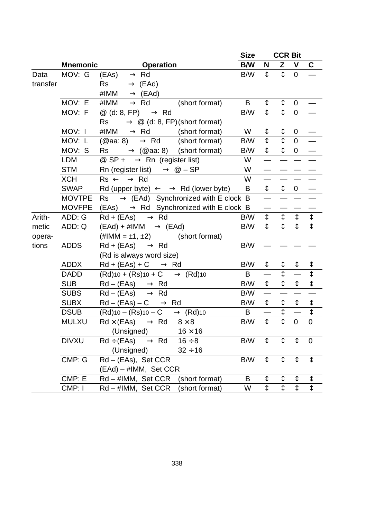|                  |                 |                                                                                               | <b>Size</b>                                             |                         | <b>CCR Bit</b>            |                           |                         |                           |  |
|------------------|-----------------|-----------------------------------------------------------------------------------------------|---------------------------------------------------------|-------------------------|---------------------------|---------------------------|-------------------------|---------------------------|--|
|                  | <b>Mnemonic</b> | Operation                                                                                     |                                                         | B/W                     | N                         | Z                         | $\mathbf v$             | C                         |  |
| Data<br>transfer | MOV: G          | $( EAs ) \longrightarrow Rd$<br>$\longrightarrow$ (EAd)<br>Rs<br>#IMM $\longrightarrow$ (EAd) |                                                         | B/W                     | $\overline{\mathbf{t}}$   | $\overline{\mathbf{t}}$   | $\overline{0}$          |                           |  |
|                  | MOV: E          | #IMM -> Rd                                                                                    | (short format)                                          | B                       | $\updownarrow$            | $\frac{1}{1}$             | $\pmb{0}$               |                           |  |
|                  | MOV: F          | $@$ (d: 8, FP) $\longrightarrow$ Rd                                                           | B/W<br>Rs $\longrightarrow$ @ (d: 8, FP) (short format) |                         |                           |                           |                         |                           |  |
|                  | MOV: I          | #IMM $\longrightarrow$ Rd                                                                     | (short format)                                          | W                       | ↨                         | ↨                         | 0                       |                           |  |
|                  | MOV: L          | (@aa: 8) $\longrightarrow$ Rd                                                                 | (short format)                                          | B/W                     | $\updownarrow$            | ⇕                         | $\mathbf 0$             |                           |  |
|                  | MOV: S          | <b>Rs</b><br>$\longrightarrow$ (@aa: 8) (short format)                                        |                                                         | B/W                     | $\updownarrow$            | $\overline{\updownarrow}$ | $\mathbf 0$             |                           |  |
|                  | <b>LDM</b>      | @ SP + $\longrightarrow$ Rn (register list)                                                   |                                                         | W                       |                           |                           |                         |                           |  |
|                  | <b>STM</b>      | Rn (register list) $\longrightarrow$ @ - SP                                                   |                                                         | W                       | $\overline{\phantom{0}}$  |                           |                         |                           |  |
|                  | <b>XCH</b>      | $Rs \longleftrightarrow Rd$                                                                   |                                                         | W                       |                           |                           |                         |                           |  |
|                  | <b>SWAP</b>     | Rd (upper byte) $\longleftrightarrow$ Rd (lower byte)                                         |                                                         | B                       | $\overline{\updownarrow}$ | $\overline{\downarrow}$   | 0                       |                           |  |
|                  | <b>MOVTPE</b>   | $Rs \longrightarrow$ (EAd) Synchronized with E clock B                                        |                                                         |                         |                           |                           |                         |                           |  |
|                  | <b>MOVFPE</b>   | $( EAs ) \longrightarrow Rd$ Synchronized with E clock B                                      |                                                         |                         |                           |                           |                         |                           |  |
| Arith-           | ADD: G          | $Rd + (EAs) \longrightarrow Rd$                                                               | B/W                                                     | $\overline{\downarrow}$ | ⇕                         | $\frac{1}{1}$             | $\frac{1}{1}$           |                           |  |
| metic            | ADD: Q          | $(EAd) + #IMM \longrightarrow (EAd)$                                                          |                                                         | B/W                     | $\overline{t}$            |                           |                         |                           |  |
| opera-           |                 | $(\#IMM = \pm 1, \pm 2)$                                                                      | (short format)                                          |                         |                           |                           |                         |                           |  |
| tions            | <b>ADDS</b>     | $Rd + (EAs) \longrightarrow Rd$                                                               |                                                         | B/W                     |                           |                           |                         |                           |  |
|                  |                 | (Rd is always word size)                                                                      |                                                         |                         |                           |                           |                         |                           |  |
|                  | <b>ADDX</b>     | $Rd + (EAs) + C \longrightarrow Rd$                                                           |                                                         | B/W                     | $\updownarrow$            | ⇕                         | $\updownarrow$          | $\frac{1}{1}$             |  |
|                  | <b>DADD</b>     | $(Rd)$ 10 + $(Rs)$ 10 + $C \longrightarrow (Rd)$ 10                                           |                                                         | B                       |                           |                           |                         |                           |  |
|                  | <b>SUB</b>      | $Rd - (EAs) \longrightarrow Rd$                                                               |                                                         | B/W                     | $\updownarrow$            | $\updownarrow$            | $\downarrow$            | $\ddot{\downarrow}$       |  |
|                  | <b>SUBS</b>     | $Rd - (EAs) \longrightarrow Rd$                                                               |                                                         | B/W                     | $\overline{\phantom{0}}$  |                           |                         |                           |  |
|                  | <b>SUBX</b>     | $Rd - (EAs) - C \longrightarrow Rd$                                                           |                                                         | B/W                     | $\overline{\downarrow}$   | $\updownarrow$            | $\updownarrow$          | $\overline{\downarrow}$   |  |
|                  | <b>DSUB</b>     | $(Rd)$ 10 - $(Rs)$ 10 - $C \longrightarrow (Rd)$ 10                                           |                                                         | B                       |                           | $\updownarrow$            |                         | $\downarrow$              |  |
|                  | <b>MULXU</b>    | $Rd \times (EAs) \longrightarrow Rd$                                                          | $8 \times 8$                                            | B/W                     | $\overline{\mathfrak{t}}$ | $\overline{\mathbb{1}}$   | $\Omega$                | $\overline{0}$            |  |
|                  |                 | (Unsigned)                                                                                    | $16 \times 16$                                          |                         |                           |                           |                         |                           |  |
|                  | <b>DIVXU</b>    | $Rd \div (EAs) \longrightarrow Rd$<br>(Unsigned)                                              | $16 \div 8$<br>$32 \div 16$                             | B/W                     | $\updownarrow$            | $\updownarrow$            | $\updownarrow$          | $\overline{0}$            |  |
|                  | CMP: G          | Rd - (EAs), Set CCR                                                                           |                                                         | B/W                     | $\updownarrow$            | $\overline{\downarrow}$   | $\overline{\downarrow}$ | $\overline{\updownarrow}$ |  |
|                  |                 | $(EAd) - #IMM$ , Set CCR                                                                      |                                                         |                         |                           |                           |                         |                           |  |
|                  | CMP: E          | Rd - #IMM, Set CCR                                                                            | (short format)                                          | B                       | ⇕                         |                           |                         |                           |  |
|                  | CMP: I          | Rd-#IMM, Set CCR                                                                              | (short format)                                          | W                       | $\overline{\mathfrak{t}}$ | $\frac{1}{1}$             | $\frac{1}{1}$           | $\frac{1}{1}$             |  |
|                  |                 |                                                                                               |                                                         |                         |                           |                           |                         |                           |  |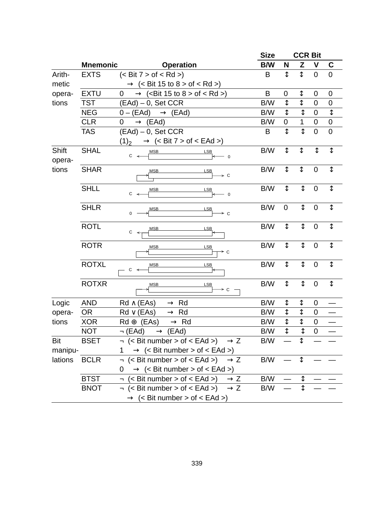|         |                 |                                                                     | <b>Size</b> |                           | <b>CCR Bit</b>            |                         |                           |
|---------|-----------------|---------------------------------------------------------------------|-------------|---------------------------|---------------------------|-------------------------|---------------------------|
|         | <b>Mnemonic</b> | <b>Operation</b>                                                    | B/W         | N                         | Z                         | $\mathbf{V}$            | C                         |
| Arith-  | <b>EXTS</b>     | $(<$ Bit $7 >$ of $<$ Rd $>$ )                                      | B           | $\updownarrow$            | $\updownarrow$            | $\overline{0}$          | $\mathbf 0$               |
| metic   |                 | $\longrightarrow$ (< Bit 15 to 8 > of < Rd >)                       |             |                           |                           |                         |                           |
| opera-  | <b>EXTU</b>     | $0 \longrightarrow$ ( <bit 15="" 8="" to=""> of &lt; Rd &gt;)</bit> | B           | 0                         | ⇕                         | $\boldsymbol{0}$        | 0                         |
| tions   | <b>TST</b>      | $(EAd) - 0$ , Set CCR                                               | B/W         | ⇟                         | $\overline{\mathfrak{t}}$ | $\mathbf 0$             | 0                         |
|         | <b>NEG</b>      | $0 - (EAd) \longrightarrow (EAd)$                                   | B/W         | ↨                         | $\overline{\downarrow}$   | $\mathbf 0$             | $\overline{\updownarrow}$ |
|         | <b>CLR</b>      | $0 \longrightarrow (EAd)$                                           | B/W         | $\mathbf 0$               | 1                         | $\mathbf 0$             | $\boldsymbol{0}$          |
|         | <b>TAS</b>      | $(EAd) - 0$ , Set CCR                                               | B           | $\overline{\updownarrow}$ | $\overline{\mathbf{t}}$   | $\overline{0}$          | $\overline{0}$            |
|         |                 | $(1)_2 \longrightarrow (\leq B$ it 7 > of $\leq E$ Ad >)            |             |                           |                           |                         |                           |
| Shift   | <b>SHAL</b>     | <b>MSB</b><br><b>LSB</b>                                            | B/W         | $\overline{\updownarrow}$ | $\overline{\updownarrow}$ | $\overline{\downarrow}$ | $\overline{\downarrow}$   |
| opera-  |                 | $C \prec$<br>$-0$                                                   |             |                           |                           |                         |                           |
| tions   | <b>SHAR</b>     | <b>MSB</b><br>LSB                                                   | B/W         | $\updownarrow$            | $\updownarrow$            | $\mathbf 0$             | $\updownarrow$            |
|         |                 | ⊁ C                                                                 |             |                           |                           |                         |                           |
|         | <b>SHLL</b>     | <b>MSB</b><br><b>LSB</b>                                            | B/W         | $\updownarrow$            | $\overline{\downarrow}$   | $\mathbf 0$             | $\updownarrow$            |
|         |                 | С<br>$\overline{0}$                                                 |             |                           |                           |                         |                           |
|         | <b>SHLR</b>     | <b>LSB</b><br><b>MSB</b>                                            | B/W         | $\mathbf 0$               | $\overline{\updownarrow}$ | $\boldsymbol{0}$        | $\overline{\updownarrow}$ |
|         |                 | 0<br>⊁ с                                                            |             |                           |                           |                         |                           |
|         | <b>ROTL</b>     | <b>MSB</b><br><b>LSB</b>                                            | B/W         | ↨                         | $\updownarrow$            | $\boldsymbol{0}$        | $\updownarrow$            |
|         |                 | C                                                                   |             |                           |                           |                         |                           |
|         | <b>ROTR</b>     | <b>MSB</b><br><b>LSB</b>                                            | B/W         | $\updownarrow$            | $\updownarrow$            | $\mathbf 0$             | $\updownarrow$            |
|         |                 | ⊁ C                                                                 |             |                           |                           |                         |                           |
|         | <b>ROTXL</b>    | <b>LSB</b><br><b>MSB</b><br>$C \prec$                               | B/W         | ↨                         | $\updownarrow$            | $\mathbf 0$             | $\overline{\updownarrow}$ |
|         |                 |                                                                     |             |                           |                           |                         |                           |
|         | <b>ROTXR</b>    | <b>MSB</b><br><b>LSB</b><br>⊁ с                                     | B/W         | $\updownarrow$            | $\downarrow$              | $\boldsymbol{0}$        | $\updownarrow$            |
|         |                 |                                                                     |             |                           |                           |                         |                           |
| Logic   | <b>AND</b>      | $Rd \wedge (EAs) \longrightarrow Rd$                                | B/W         | ⇕                         | ⇕                         | 0                       |                           |
| opera-  | OR <sub>1</sub> | $Rd \vee (EAs) \longrightarrow Rd$                                  | B/W         | ↨                         | $\updownarrow$            | $\pmb{0}$               |                           |
| tions   | <b>XOR</b>      | $Rd \oplus (EAs) \longrightarrow Rd$                                | B/W         | ↨                         | ⇟                         | $\boldsymbol{0}$        |                           |
|         | <b>NOT</b>      | $\neg$ (EAd) $\longrightarrow$ (EAd)                                | B/W         | $\overline{\updownarrow}$ | $\overline{\mathfrak{t}}$ | $\boldsymbol{0}$        |                           |
| Bit     | <b>BSET</b>     | $\lnot$ (< Bit number > of < EAd >) $\longrightarrow$ Z             | B/W         |                           | $\updownarrow$            |                         |                           |
| manipu- |                 | $1 \longrightarrow$ (< Bit number > of < EAd >)                     |             |                           |                           |                         |                           |
| lations | <b>BCLR</b>     | $\lnot$ (< Bit number > of < EAd >) $\longrightarrow$ Z             | B/W         |                           | $\updownarrow$            |                         |                           |
|         |                 | $0 \longrightarrow$ (< Bit number > of < EAd >)                     |             |                           |                           |                         |                           |
|         | <b>BTST</b>     | $\lnot$ (< Bit number > of < EAd >) $\longrightarrow$ Z             | B/W         |                           | $\updownarrow$            |                         |                           |
|         | <b>BNOT</b>     | $\lnot$ (< Bit number > of < EAd >) $\longrightarrow$ Z             | B/W         |                           | $\overline{\updownarrow}$ |                         |                           |
|         |                 | $\longrightarrow$ (< Bit number > of < EAd >)                       |             |                           |                           |                         |                           |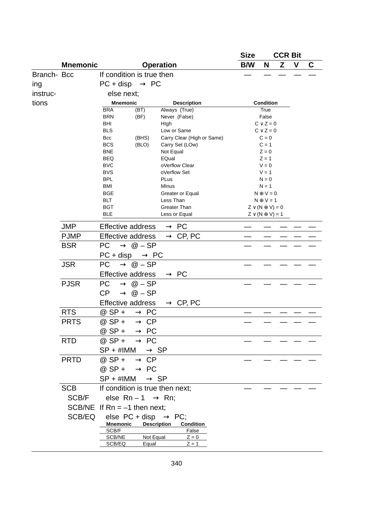|            |                 |                                           |                    |                                            | <b>Size</b><br><b>CCR Bit</b> |                                  |   |   |   |
|------------|-----------------|-------------------------------------------|--------------------|--------------------------------------------|-------------------------------|----------------------------------|---|---|---|
|            | <b>Mnemonic</b> |                                           |                    | <b>Operation</b>                           | B/W                           | N                                | z | V | C |
| Branch-Bcc |                 | If condition is true then                 |                    |                                            |                               |                                  |   |   |   |
| ing        |                 | $PC + disp \longrightarrow PC$            |                    |                                            |                               |                                  |   |   |   |
| instruc-   |                 | else next;                                |                    |                                            |                               |                                  |   |   |   |
| tions      |                 | <b>Mnemonic</b>                           |                    | <b>Description</b>                         | Condition                     |                                  |   |   |   |
|            |                 | <b>BRA</b>                                | (BT)               | Always (True)                              |                               |                                  |   |   |   |
|            |                 | <b>BRN</b>                                | (BF)               | Never (False)                              |                               | False                            |   |   |   |
|            |                 | BHI<br><b>BLS</b>                         |                    | High<br>Low or Same                        |                               | $C \vee Z = 0$<br>$C \vee Z = 0$ |   |   |   |
|            |                 | Bcc                                       | (BHS)              | Carry Clear (High or Same)                 |                               | $C = 0$                          |   |   |   |
|            |                 | <b>BCS</b>                                | (BLO)              | Carry Set (LOw)                            |                               | $C = 1$                          |   |   |   |
|            |                 | <b>BNE</b>                                |                    | Not Equal                                  |                               | $Z = 0$<br>$Z = 1$               |   |   |   |
|            |                 | <b>BEQ</b><br><b>BVC</b>                  |                    | EQual<br>oVerflow Clear                    |                               | $V = 0$                          |   |   |   |
|            |                 | <b>BVS</b>                                |                    | oVerflow Set                               |                               | $V = 1$                          |   |   |   |
|            |                 | <b>BPL</b>                                |                    | <b>PLus</b>                                |                               | $N = 0$                          |   |   |   |
|            |                 | BMI<br><b>BGE</b>                         |                    | MInus                                      |                               | $N = 1$<br>$N \oplus V = 0$      |   |   |   |
|            |                 | <b>BLT</b>                                |                    | Greater or Equal<br>Less Than              |                               | $N \oplus V = 1$                 |   |   |   |
|            |                 | <b>BGT</b>                                |                    | Greater Than                               |                               | $Z \vee (N \oplus V) = 0$        |   |   |   |
|            |                 | <b>BLE</b>                                |                    | Less or Equal                              |                               | $Z \vee (N \oplus V) = 1$        |   |   |   |
|            | <b>JMP</b>      | Effective address $\longrightarrow$ PC    |                    |                                            |                               |                                  |   |   |   |
|            | <b>PJMP</b>     |                                           |                    | Effective address $\longrightarrow$ CP, PC |                               |                                  |   |   |   |
|            | <b>BSR</b>      | $PC \longrightarrow \textcircled{a} - SP$ |                    |                                            |                               |                                  |   |   |   |
|            |                 | $PC + disp \longrightarrow PC$            |                    |                                            |                               |                                  |   |   |   |
|            | <b>JSR</b>      | $PC \longrightarrow @ - SP$               |                    |                                            |                               |                                  |   |   |   |
|            |                 | Effective address -                       |                    | $\rightarrow$ PC                           |                               |                                  |   |   |   |
|            | <b>PJSR</b>     | $PC \longrightarrow @ - SP$               |                    |                                            |                               |                                  |   |   |   |
|            |                 | $CP \longrightarrow @ - SP$               |                    |                                            |                               |                                  |   |   |   |
|            |                 |                                           |                    | Effective address $\longrightarrow$ CP, PC |                               |                                  |   |   |   |
|            | <b>RTS</b>      | $@$ SP + $\longrightarrow$ PC             |                    |                                            |                               |                                  |   |   |   |
|            | <b>PRTS</b>     | $@$ SP + $\longrightarrow$ CP             |                    |                                            |                               |                                  |   |   |   |
|            |                 | $@$ SP + $\longrightarrow$ PC             |                    |                                            |                               |                                  |   |   |   |
|            | <b>RTD</b>      | @ $SP + \longrightarrow PC$               |                    |                                            |                               |                                  |   |   |   |
|            |                 | $SP + #IMM \longrightarrow SP$            |                    |                                            |                               |                                  |   |   |   |
|            | <b>PRTD</b>     | @ SP + $\longrightarrow$ CP               |                    |                                            |                               |                                  |   |   |   |
|            |                 | $@$ SP + $\longrightarrow$ PC             |                    |                                            |                               |                                  |   |   |   |
|            |                 | $SP + #IMM \longrightarrow SP$            |                    |                                            |                               |                                  |   |   |   |
|            | <b>SCB</b>      | If condition is true then next;           |                    |                                            |                               |                                  |   |   |   |
|            | SCB/F           | else $Rn - 1 \longrightarrow Rn$ ;        |                    |                                            |                               |                                  |   |   |   |
|            |                 | SCB/NE If $Rn = -1$ then next;            |                    |                                            |                               |                                  |   |   |   |
|            | SCB/EQ          | else $PC + disp \longrightarrow PC$ ;     |                    |                                            |                               |                                  |   |   |   |
|            |                 | Mnemonic<br>SCB/F                         | <b>Description</b> | Condition<br>False                         |                               |                                  |   |   |   |
|            |                 | SCB/NE                                    | Not Equal          | $Z = 0$                                    |                               |                                  |   |   |   |
|            |                 | SCB/EQ                                    | Equal              | $Z = 1$                                    |                               |                                  |   |   |   |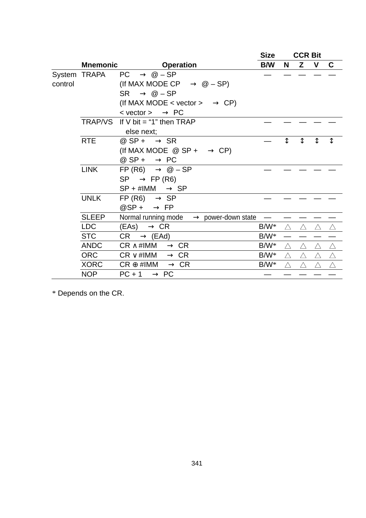|         |                 |                                                        | <b>Size</b> | <b>CCR Bit</b> |             |             |             |
|---------|-----------------|--------------------------------------------------------|-------------|----------------|-------------|-------------|-------------|
|         | <b>Mnemonic</b> | <b>Operation</b>                                       | B/W         | N              | Z V         |             | C           |
|         | System TRAPA    | $PC \longrightarrow @ - SP$                            |             |                |             |             |             |
| control |                 | (If MAX MODE CP $\longrightarrow$ @ - SP)              |             |                |             |             |             |
|         |                 | $SR \longrightarrow \textcircled{a} - SP$              |             |                |             |             |             |
|         |                 | (If MAX MODE < vector > $\longrightarrow$ CP)          |             |                |             |             |             |
|         |                 | $\prec$ vector $\rightarrow$ $\longrightarrow$ PC      |             |                |             |             |             |
|         |                 | TRAP/VS If V bit $=$ "1" then TRAP                     |             |                |             |             |             |
|         |                 | else next;                                             |             |                |             |             |             |
|         | <b>RTE</b>      | @ $SP + \longrightarrow$ SR                            |             |                | ↥           | ↨           |             |
|         |                 | (If MAX MODE $\circledcirc$ SP + $\longrightarrow$ CP) |             |                |             |             |             |
|         |                 | @ SP + $\longrightarrow$ PC                            |             |                |             |             |             |
|         | <b>LINK</b>     | FP (R6) $\longrightarrow$ @ - SP                       |             |                |             |             |             |
|         |                 | $SP \longrightarrow FP(R6)$                            |             |                |             |             |             |
|         |                 | $SP + #IMM \longrightarrow SP$                         |             |                |             |             |             |
|         | <b>UNLK</b>     | $FP(R6) \longrightarrow SP$                            |             |                |             |             |             |
|         |                 | $@SP + \longrightarrow FP$                             |             |                |             |             |             |
|         | <b>SLEEP</b>    | Normal running mode $\longrightarrow$ power-down state |             |                |             |             |             |
|         | <b>LDC</b>      | $( EAs ) \longrightarrow CR$                           | $B/W^*$     | $\triangle^-$  | $\triangle$ | ∧           | ∧           |
|         | <b>STC</b>      | $CR \longrightarrow (EAd)$                             | $B/W^*$     |                |             |             |             |
|         | <b>ANDC</b>     | $CR \wedge \#IMM \longrightarrow CR$                   | B/W*        | $\triangle$    | $\triangle$ | $\wedge$    | Λ           |
|         | <b>ORC</b>      | $CR \vee \#IMM \longrightarrow CR$                     | B/W*        | $\triangle$    | Δ           | $\triangle$ | Δ           |
|         | <b>XORC</b>     | $CR \oplus \#IMM \longrightarrow CR$                   | B/W*        | $\triangle$    | $\triangle$ | $\triangle$ | $\triangle$ |
|         | <b>NOP</b>      | $PC + 1 \longrightarrow PC$                            |             |                |             |             |             |

\* Depends on the CR.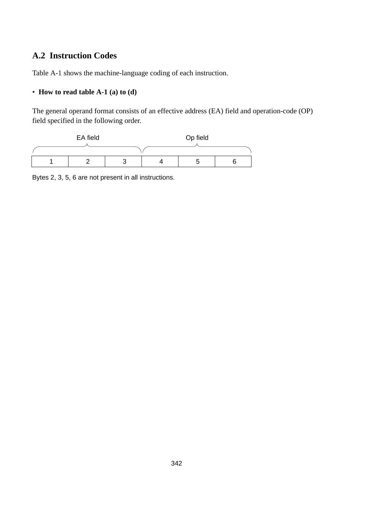# **A.2 Instruction Codes**

Table A-1 shows the machine-language coding of each instruction.

### • **How to read table A-1 (a) to (d)**

The general operand format consists of an effective address (EA) field and operation-code (OP) field specified in the following order.



Bytes 2, 3, 5, 6 are not present in all instructions.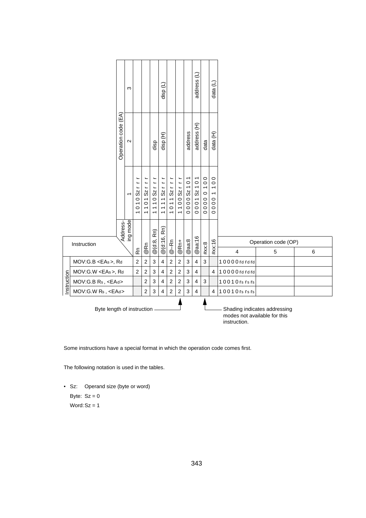|                                                                                                            |                         |                     | ო                        |                                                                                  |                                                                                         |                                                                                                               | disp (L)                                                                                                                                                       |                                                                                                 |                                                                    |                                                                                                                   | address (L)                                                                                                                                            |                                                                                             | (T)<br>data                                                                                                  |                         |                          |   |
|------------------------------------------------------------------------------------------------------------|-------------------------|---------------------|--------------------------|----------------------------------------------------------------------------------|-----------------------------------------------------------------------------------------|---------------------------------------------------------------------------------------------------------------|----------------------------------------------------------------------------------------------------------------------------------------------------------------|-------------------------------------------------------------------------------------------------|--------------------------------------------------------------------|-------------------------------------------------------------------------------------------------------------------|--------------------------------------------------------------------------------------------------------------------------------------------------------|---------------------------------------------------------------------------------------------|--------------------------------------------------------------------------------------------------------------|-------------------------|--------------------------|---|
|                                                                                                            |                         | Operation code (EA) | $\sim$                   |                                                                                  |                                                                                         | disp                                                                                                          | disp (H)                                                                                                                                                       |                                                                                                 |                                                                    | address                                                                                                           | address (H)                                                                                                                                            | data                                                                                        | data (H)                                                                                                     |                         |                          |   |
|                                                                                                            |                         |                     | $\overline{\phantom{0}}$ | ۳<br>$\overline{\phantom{a}}$<br>Sz<br>$\circ$<br>÷<br>$\circ$<br>$\overline{ }$ | L<br>Ľ<br>SZ<br>$\overline{ }$<br>$\circ$<br>$\overline{ }$<br>$\overline{\phantom{0}}$ | $\overline{\phantom{0}}$<br>$0Sz$ r<br>$\overline{\phantom{0}}$<br>$\overline{\phantom{0}}$<br>$\overline{ }$ | $\overline{\phantom{a}}$<br>$\overline{a}$<br>$\blacksquare$<br>Sz<br>$\overline{ }$<br>$\overline{ }$<br>$\overline{\phantom{0}}$<br>$\overline{\phantom{0}}$ | $\overline{a}$<br>SZ<br>$\overline{ }$<br>$\overline{ }$<br>$\circ$<br>$\overline{\phantom{0}}$ | $0Sz$ rrr<br>$\circ$<br>$\overline{ }$<br>$\overline{\phantom{0}}$ | $\overline{\phantom{0}}$<br>$\circ$<br>$\overline{\phantom{0}}$<br>Sz<br>$\circ$<br>$\circ$<br>$\circ$<br>$\circ$ | $\overline{\phantom{0}}$<br>$\circ$<br>$\overline{\phantom{0}}$<br>$\mathsf{S}\mathsf{Z}$<br>$\overline{\phantom{0}}$<br>$\circ$<br>$\circ$<br>$\circ$ | $\circ$<br>$\circ$<br>$\overline{ }$<br>$\circ$<br>$\circ$<br>$\circ$<br>$\circ$<br>$\circ$ | $\circ$<br>$\circ$<br>$\overline{ }$<br>$\overline{\phantom{0}}$<br>$\circ$<br>$\circ$<br>$\circ$<br>$\circ$ |                         |                          |   |
|                                                                                                            | Instruction             |                     | Address-                 | ۴è                                                                               | @Rn                                                                                     | @ (d:8, Rn)                                                                                                   | Rn)<br>@ (d:16,                                                                                                                                                | $@ -Rn$                                                                                         | @Rn+                                                               | @aa:8                                                                                                             | $@$ aa:16                                                                                                                                              | #xx:8                                                                                       | #xx:16                                                                                                       | $\overline{\mathbf{4}}$ | Operation code (OP)<br>5 | 6 |
|                                                                                                            | MOV:G.B <eas>, Rd</eas> |                     |                          | $\overline{2}$                                                                   | $\overline{2}$                                                                          | 3                                                                                                             | $\overline{4}$                                                                                                                                                 | $\overline{2}$                                                                                  | $\overline{2}$                                                     | 3                                                                                                                 | 4                                                                                                                                                      | 3                                                                                           |                                                                                                              | 10000 rd rd rd          |                          |   |
|                                                                                                            | MOV:G.W <eas>, Rd</eas> |                     |                          | $\overline{2}$                                                                   | $\overline{2}$                                                                          | 3                                                                                                             | $\overline{\mathbf{4}}$                                                                                                                                        | $\overline{2}$                                                                                  | $\overline{2}$                                                     | 3                                                                                                                 | 4                                                                                                                                                      |                                                                                             | $\overline{4}$                                                                                               | 10000 rd rd rd          |                          |   |
| nstruction                                                                                                 | MOV:G.B Rs, <ead></ead> |                     |                          |                                                                                  | $\overline{2}$                                                                          | 3                                                                                                             | 4                                                                                                                                                              | $\overline{2}$                                                                                  | $\overline{2}$                                                     | 3                                                                                                                 | 4                                                                                                                                                      | 3                                                                                           |                                                                                                              | 10010 rs rs rs          |                          |   |
|                                                                                                            | MOV:G.W Rs, <ead></ead> |                     |                          |                                                                                  | $\overline{2}$                                                                          | 3                                                                                                             | $\overline{4}$                                                                                                                                                 | $\overline{2}$                                                                                  | $\boldsymbol{2}$                                                   | 3                                                                                                                 | $\overline{4}$                                                                                                                                         |                                                                                             | 4                                                                                                            | 10010 rs rs rs          |                          |   |
| Byte length of instruction<br>Shading indicates addressing<br>modes not available for this<br>instruction. |                         |                     |                          |                                                                                  |                                                                                         |                                                                                                               |                                                                                                                                                                |                                                                                                 |                                                                    |                                                                                                                   |                                                                                                                                                        |                                                                                             |                                                                                                              |                         |                          |   |

Some instructions have a special format in which the operation code comes first.

The following notation is used in the tables.

• Sz: Operand size (byte or word) Byte:  $Sz = 0$ Word: Sz = 1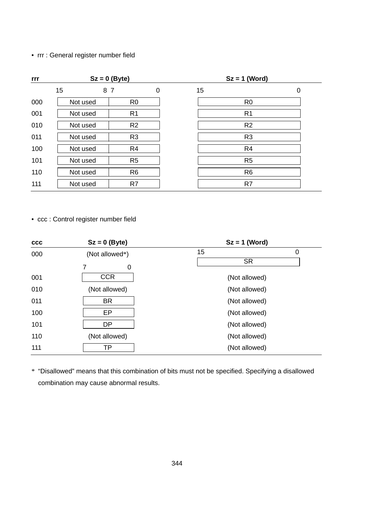## • rrr : General register number field

| rrr |          | $Sz = 0$ (Byte) |   | $Sz = 1$ (Word) |                |   |  |  |
|-----|----------|-----------------|---|-----------------|----------------|---|--|--|
|     | 15       | 8 7             | 0 | 15              |                | 0 |  |  |
| 000 | Not used | R <sub>0</sub>  |   |                 | R <sub>0</sub> |   |  |  |
| 001 | Not used | R <sub>1</sub>  |   |                 | R <sub>1</sub> |   |  |  |
| 010 | Not used | R <sub>2</sub>  |   |                 | R <sub>2</sub> |   |  |  |
| 011 | Not used | R <sub>3</sub>  |   |                 | R <sub>3</sub> |   |  |  |
| 100 | Not used | R <sub>4</sub>  |   |                 | R <sub>4</sub> |   |  |  |
| 101 | Not used | R <sub>5</sub>  |   |                 | R <sub>5</sub> |   |  |  |
| 110 | Not used | R <sub>6</sub>  |   |                 | R <sub>6</sub> |   |  |  |
| 111 | Not used | R7              |   |                 | R7             |   |  |  |

• ccc : Control register number field

| $_{\rm ccc}$ | $Sz = 0$ (Byte)          | $Sz = 1$ (Word)      |  |  |  |  |  |
|--------------|--------------------------|----------------------|--|--|--|--|--|
| 000          | (Not allowed*)<br>7<br>0 | 15<br>0<br><b>SR</b> |  |  |  |  |  |
| 001          | <b>CCR</b>               | (Not allowed)        |  |  |  |  |  |
| 010          | (Not allowed)            | (Not allowed)        |  |  |  |  |  |
| 011          | <b>BR</b>                | (Not allowed)        |  |  |  |  |  |
| 100          | EP                       | (Not allowed)        |  |  |  |  |  |
| 101          | DP                       | (Not allowed)        |  |  |  |  |  |
| 110          | (Not allowed)            | (Not allowed)        |  |  |  |  |  |
| 111          | ТP                       | (Not allowed)        |  |  |  |  |  |

\* "Disallowed" means that this combination of bits must not be specified. Specifying a disallowed combination may cause abnormal results.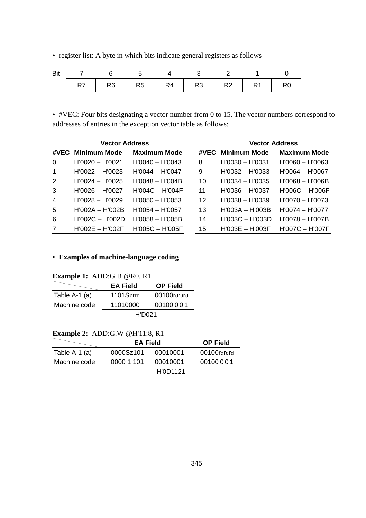• register list: A byte in which bits indicate general registers as follows

| Bit |  |  |                                       |  |  |
|-----|--|--|---------------------------------------|--|--|
|     |  |  | R7   R6   R5   R4   R3   R2   R1   R0 |  |  |

• #VEC: Four bits designating a vector number from 0 to 15. The vector numbers correspond to addresses of entries in the exception vector table as follows:

|                | <b>Vector Address</b> |                     |      | <b>Vector Address</b> |                     |  |
|----------------|-----------------------|---------------------|------|-----------------------|---------------------|--|
| #VEC           | <b>Minimum Mode</b>   | <b>Maximum Mode</b> | #VEC | Minimum Mode          | <b>Maximum Mode</b> |  |
| $\Omega$       | $H'0020 - H'0021$     | $H'0040 - H'0043$   | 8    | $H'0030 - H'0031$     | $H'0060 - H'0063$   |  |
| $\overline{1}$ | $H'0022 - H'0023$     | $H'0044 - H'0047$   | 9    | $H'0032 - H'0033$     | $H'0064 - H'0067$   |  |
| $\mathcal{P}$  | $H'0024 - H'0025$     | $H'0048 - H'004B$   | 10   | $H'0034 - H'0035$     | $H'0068 - H'006B$   |  |
| 3              | $H'0026 - H'0027$     | $H'004C - H'004F$   | 11   | $H'0036 - H'0037$     | $H'006C - H'006F$   |  |
| $\overline{4}$ | $H'0028 - H'0029$     | $H'0050 - H'0053$   | 12   | $H'0038 - H'0039$     | $H'0070 - H'0073$   |  |
| 5              | $H'002A - H'002B$     | $H'0054 - H'0057$   | 13   | $H'003A - H'003B$     | $H'0074 - H'0077$   |  |
| 6              | $H'002C - H'002D$     | $H'0058 - H'005B$   | 14   | $H'003C - H'003D$     | $H'0078 - H'007B$   |  |
| 7              | $H'002E - H'002F$     | $H'005C - H'005F$   | 15   | $H'003E - H'003F$     | $H'007C - H'007F$   |  |

## • **Examples of machine-language coding**

**Example 1:** ADD:G.B @R0, R1

|               | <b>EA Field</b> | <b>OP Field</b> |
|---------------|-----------------|-----------------|
| Table A-1 (a) | 1101Szrrr       | 00100rdrdrd     |
| Machine code  | 11010000        | 00100001        |
|               | <b>H'D021</b>   |                 |

### **Example 2:** ADD:G.W @H'11:8, R1

|                 | <b>EA Field</b> |          | <b>OP Field</b> |
|-----------------|-----------------|----------|-----------------|
| ∣ Table A-1 (a) | 0000Sz101       | 00010001 | 00100rdrdrd     |
| Machine code    | 0000 1 101      | 00010001 | 00100001        |
|                 |                 | H'0D1121 |                 |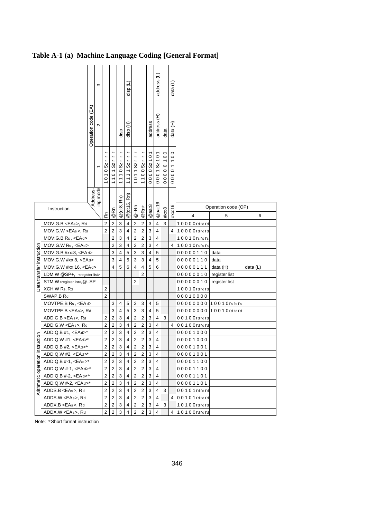# **Table A-1 (a) Machine Language Coding [General Format]**

|                                  |                                                                                                                                                                                                                                                      |                    | S                        |                                           |                                                    |                         | Ξ<br>disp                    |                                           |                                           |                   | address (L)                  |                 | data (L)                         |                |                          |          |
|----------------------------------|------------------------------------------------------------------------------------------------------------------------------------------------------------------------------------------------------------------------------------------------------|--------------------|--------------------------|-------------------------------------------|----------------------------------------------------|-------------------------|------------------------------|-------------------------------------------|-------------------------------------------|-------------------|------------------------------|-----------------|----------------------------------|----------------|--------------------------|----------|
|                                  |                                                                                                                                                                                                                                                      | Operation code (EA | $\sim$                   |                                           |                                                    | disp                    | Ê<br>disp                    |                                           |                                           | address           | £<br>address                 | data            | Ê<br>data                        |                |                          |          |
|                                  |                                                                                                                                                                                                                                                      |                    | $\overline{\phantom{0}}$ | 10103211                                  | 1101Szrr                                           | $\frac{1}{2}$<br>1110Sz | $Sz$ rr<br>1111              | $1011$ Szrr                               | 1100Szrr                                  | $\circ$<br>0000Sz | 000152101                    | 0 1 0 0<br>0000 | $\circ$<br>$\frac{0}{1}$<br>0000 |                |                          |          |
|                                  | Instruction                                                                                                                                                                                                                                          | Address-           | ing mode                 | Rn                                        | @Rn                                                | Rn)<br>@ (d:8,          | Rn)<br>@(d:16,               | $@ - Rn$                                  | @Rn+                                      | @aa:8             | @aa:16                       | #xx:8           | #xx:16                           | 4              | Operation code (OP)<br>5 | 6        |
|                                  | $MOV: G.B < EAs$ , Rd                                                                                                                                                                                                                                |                    |                          | $\overline{2}$                            | $\overline{c}$                                     | 3                       | 4                            | $\overline{\mathbf{c}}$                   | $\overline{\mathbf{c}}$                   | 3                 | $\overline{\mathbf{4}}$      | 3               |                                  | 10000rdrdrd    |                          |          |
|                                  | MOV:G.W <eas>, Rd</eas>                                                                                                                                                                                                                              |                    |                          | $\overline{2}$                            | $\overline{c}$                                     | 3                       | $\sqrt{4}$                   | $\overline{\mathbf{c}}$                   | $\overline{\mathbf{c}}$                   | 3                 | 4                            |                 | 4                                | 10000rdrdrd    |                          |          |
|                                  | MOV:G.B Rs, <ead></ead>                                                                                                                                                                                                                              |                    |                          |                                           | $\overline{2}$                                     | 3                       | 4                            | $\overline{\mathbf{c}}$                   | $\mathbf 2$                               | 3                 | 4                            |                 |                                  | 10010rsrsrs    |                          |          |
|                                  | MOV:G.W Rs, <ead></ead>                                                                                                                                                                                                                              |                    |                          |                                           | $\overline{2}$                                     | 3                       | $\overline{\mathbf{4}}$      | $\overline{c}$                            | $\overline{2}$                            | 3                 | $\overline{4}$               |                 | 4                                | 10010rsrsrs    |                          |          |
|                                  |                                                                                                                                                                                                                                                      |                    |                          |                                           | 3                                                  | $\overline{4}$          | 5                            |                                           | 3                                         | $\overline{4}$    | 5                            |                 |                                  |                | data                     |          |
|                                  | $MOV:G.B \#xx:8, $                                                                                                                                                                                                                                   |                    |                          |                                           | 3                                                  |                         |                              | 3<br>3                                    | 3                                         |                   | 5                            |                 |                                  | 00000110       |                          |          |
|                                  | MOV:G.W #xx:8, <ead></ead>                                                                                                                                                                                                                           |                    |                          |                                           | $\overline{\mathbf{4}}$                            | 4                       | 5                            |                                           |                                           | 4                 |                              |                 |                                  | 00000110       | data                     |          |
| Data transfer instruction        | MOV:G.W #xx:16, <ead></ead>                                                                                                                                                                                                                          |                    |                          |                                           |                                                    | 5                       | 6                            | $\overline{4}$                            | $\overline{4}$                            | 5                 | 6                            |                 |                                  | 00000111       | data (H)                 | data (L) |
|                                  | LDM.W @SP+, <register list=""></register>                                                                                                                                                                                                            |                    |                          |                                           |                                                    |                         |                              |                                           | $\overline{2}$                            |                   |                              |                 |                                  | 00000010       | register list            |          |
|                                  | STM.W <register list="">, @-SP</register>                                                                                                                                                                                                            |                    |                          |                                           |                                                    |                         |                              | $\overline{2}$                            |                                           |                   |                              |                 |                                  | 00000010       | register list            |          |
|                                  | XCH.W Rs, Rd                                                                                                                                                                                                                                         |                    |                          | 2                                         |                                                    |                         |                              |                                           |                                           |                   |                              |                 |                                  | 10010rdrdrd    |                          |          |
|                                  | SWAP.B Rd                                                                                                                                                                                                                                            |                    |                          | $\overline{2}$                            |                                                    |                         |                              |                                           |                                           |                   |                              |                 |                                  | 00010000       |                          |          |
|                                  | MOVTPE.B Rs, <ead></ead>                                                                                                                                                                                                                             |                    |                          |                                           | 3                                                  | 4                       | 5                            | 3                                         | 3                                         | $\overline{4}$    | 5                            |                 |                                  |                | 00000000 1001 0rs rs rs  |          |
|                                  | MOVTPE.B <eas>, Rd</eas>                                                                                                                                                                                                                             |                    |                          |                                           | 3                                                  | $\overline{\mathbf{4}}$ | 5<br>$\overline{\mathbf{4}}$ | 3                                         | 3                                         | $\overline{4}$    | 5                            |                 |                                  |                | 00000000 1001 Ordrard    |          |
|                                  | ADD:G.B <eas>, Rd</eas>                                                                                                                                                                                                                              |                    |                          | $\overline{c}$                            | $\overline{\mathbf{c}}$                            | 3                       |                              | $\overline{\mathbf{c}}$                   | $\overline{\mathbf{c}}$                   | 3                 | $\overline{\mathbf{4}}$<br>4 | 3               |                                  | $00100$ rdrdrd |                          |          |
|                                  | ADD:G.W <eas>, Rd</eas>                                                                                                                                                                                                                              |                    |                          | $\overline{c}$                            | $\overline{\mathbf{c}}$                            | 3                       | 4                            | $\overline{\mathbf{c}}$                   | $\overline{\mathbf{c}}$                   | 3                 |                              |                 | 4                                | 00100rdrdrd    |                          |          |
|                                  | ADD:Q.B #1, <ead>*</ead>                                                                                                                                                                                                                             |                    |                          | $\overline{c}$<br>$\overline{c}$          | $\overline{\mathbf{c}}$<br>$\overline{\mathbf{c}}$ | 3                       | 4                            | $\overline{\mathbf{c}}$                   | $\overline{\mathbf{c}}$<br>$\overline{c}$ | 3<br>3            | $\overline{\mathbf{4}}$<br>4 |                 |                                  | 00001000       |                          |          |
|                                  | ADD:Q.W #1, <ead< td=""><td></td><td></td><td></td><td></td><td>3</td><td>4</td><td><math>\overline{\mathbf{c}}</math></td><td></td><td></td><td><math>\overline{\mathbf{4}}</math></td><td></td><td></td><td>00001000</td><td></td><td></td></ead<> |                    |                          |                                           |                                                    | 3                       | 4                            | $\overline{\mathbf{c}}$                   |                                           |                   | $\overline{\mathbf{4}}$      |                 |                                  | 00001000       |                          |          |
|                                  | ADD:Q.B #2, $<EAd>*$                                                                                                                                                                                                                                 |                    |                          | $\overline{c}$                            | $\overline{\mathbf{c}}$                            | 3                       | 4                            | $\overline{c}$                            | $\overline{c}$                            | 3                 |                              |                 |                                  | 00001001       |                          |          |
|                                  | ADD:Q.W #2, <ead>*</ead>                                                                                                                                                                                                                             |                    |                          | $\overline{c}$                            | $\overline{\mathbf{c}}$                            | 3                       | 4                            | $\overline{\mathbf{c}}$                   | $\overline{\mathbf{c}}$                   | 3                 | 4                            |                 |                                  | 00001001       |                          |          |
|                                  | ADD:Q.B #-1, <ead>*</ead>                                                                                                                                                                                                                            |                    |                          | $\overline{c}$                            | $\overline{\mathbf{c}}$                            | 3                       | 4                            | $\overline{\mathbf{c}}$                   | $\overline{\mathbf{c}}$                   | 3                 | 4                            |                 |                                  | 00001100       |                          |          |
|                                  | ADD:Q.W #-1, <ead>*</ead>                                                                                                                                                                                                                            |                    |                          | $\overline{c}$                            | $\overline{\mathbf{c}}$                            | 3                       | 4                            | $\overline{\mathbf{c}}$                   | $\mathbf 2$                               | 3                 | 4                            |                 |                                  | 00001100       |                          |          |
|                                  | ADD:Q.B #-2, <ea d="">*</ea>                                                                                                                                                                                                                         |                    |                          | 2                                         | $\overline{\mathbf{c}}$                            | 3                       | $\sqrt{4}$                   | $\overline{\mathbf{c}}$                   | $\mathbf 2$                               | 3                 | 4                            |                 |                                  | 00001101       |                          |          |
| Arithmetic operation instruction | ADD:Q.W #-2, <ead>*</ead>                                                                                                                                                                                                                            |                    |                          | 2                                         | $\overline{\mathbf{c}}$                            | 3                       | $\overline{\mathbf{4}}$      | 2                                         | $\overline{\mathbf{c}}$                   | 3                 | 4                            |                 |                                  | 00001101       |                          |          |
|                                  | ADDS.B <eas>, Rd</eas>                                                                                                                                                                                                                               |                    |                          | $\overline{\mathbf{c}}$                   | $\overline{\mathbf{c}}$                            | 3                       | $\pmb{4}$                    | $\overline{\mathbf{c}}$                   | $\mathbf 2$                               | 3                 | 4<br>4                       | 3               | $\overline{4}$                   | 00101rdrdrd    |                          |          |
|                                  | ADDS.W <eas>, Rd</eas>                                                                                                                                                                                                                               |                    |                          | 2                                         | $\overline{\mathbf{c}}$                            | 3                       | 4                            | $\overline{\mathbf{c}}$                   | $\mathbf 2$                               | 3                 |                              |                 |                                  | 00101rdrdrd    |                          |          |
|                                  | ADDX.B <eas>, Rd</eas>                                                                                                                                                                                                                               |                    |                          | $\overline{\mathbf{c}}$<br>$\overline{2}$ | $\overline{\mathbf{c}}$<br>$\overline{2}$          | 3<br>3                  | 4<br>$\overline{\mathbf{4}}$ | $\overline{\mathbf{c}}$<br>$\overline{2}$ | $\overline{\mathbf{c}}$<br>$\overline{2}$ | 3<br>3            | 4<br>4                       | 3               | $\overline{4}$                   | 10100rdrdrd    |                          |          |
|                                  | ADDX.W <eas>, Rd</eas>                                                                                                                                                                                                                               |                    |                          |                                           |                                                    |                         |                              |                                           |                                           |                   |                              |                 |                                  | 10100rdrdrd    |                          |          |
|                                  | Note: *Short format instruction                                                                                                                                                                                                                      |                    |                          |                                           |                                                    |                         |                              |                                           |                                           |                   |                              |                 |                                  |                |                          |          |

Note: \*Short format instruction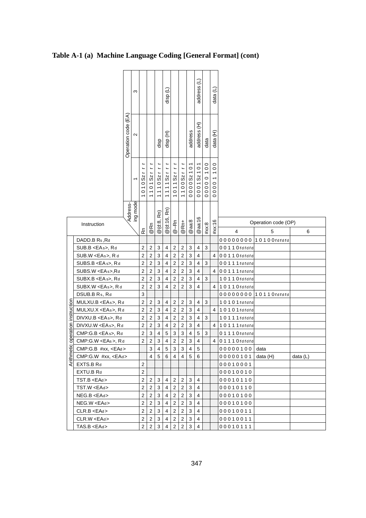# **Table A-1 (a) Machine Language Coding [General Format] (cont)**

|                                  |                                         |                     | S                        |                                           |                                  |                         | $\widehat{=}$<br>disp   |                                  |                                  |                                      | address (L)                          |                        | data (L)                                                                            |                      |                     |          |
|----------------------------------|-----------------------------------------|---------------------|--------------------------|-------------------------------------------|----------------------------------|-------------------------|-------------------------|----------------------------------|----------------------------------|--------------------------------------|--------------------------------------|------------------------|-------------------------------------------------------------------------------------|----------------------|---------------------|----------|
|                                  |                                         | Operation code (EA) | $\mathbf{\Omega}$        |                                           |                                  | disp                    | Ê<br>disp               |                                  |                                  | address                              | £<br>address                         | data                   | data (H)                                                                            |                      |                     |          |
|                                  |                                         |                     | $\overline{\phantom{0}}$ | $\overline{a}$<br>$\overline{S}$<br>010   | Sz<br>101                        | L,<br>$Sz$ r<br>1110    | 11111Szrr               | 1011Sz                           | L<br>Sz<br>1100                  | 101<br>$\overline{\text{S}}$<br>0000 | 101<br>$\overline{\text{S}}$<br>0001 | 100<br>$\circ$<br>0000 | $\circ$<br>$\overline{ }$<br>$\overline{ }$<br>$\overline{0}$<br>$\circ$<br>$\circ$ |                      |                     |          |
|                                  | Instruction                             | Address-            | ing mode                 |                                           |                                  | @(d:8, Rn)              | Rn)<br>@(d:16,          |                                  |                                  |                                      | @aa:16                               |                        |                                                                                     |                      | Operation code (OP) |          |
|                                  |                                         |                     |                          | ۴                                         | @Rn                              |                         |                         | $@ - Rn$                         | @Rn+                             | @aa:8                                |                                      | #xx:8                  | #xx:16                                                                              | 4                    | 5                   | 6        |
|                                  | DADD.B Rs, Rd                           |                     |                          |                                           |                                  |                         |                         |                                  |                                  |                                      |                                      |                        |                                                                                     | 00000000             | 10100rdrdrd         |          |
|                                  | SUB.B <eas>, Rd</eas>                   |                     |                          | $\overline{2}$                            | $\sqrt{2}$                       | 3                       | 4                       | $\overline{2}$                   | $\overline{\mathbf{c}}$          | 3                                    | 4                                    | 3                      |                                                                                     | 00110rdrdrd          |                     |          |
|                                  | SUB.W <eas>, R d</eas>                  |                     |                          | $\overline{c}$                            | $\overline{2}$                   | 3                       | $\overline{4}$          | $\overline{c}$                   | $\overline{c}$                   | 3                                    | $\overline{4}$                       |                        | 4                                                                                   | 00110rdrdrd          |                     |          |
|                                  | SUBS.B <ea s="">, Rd</ea>               |                     |                          | $\overline{2}$                            | $\overline{2}$                   | 3                       | $\overline{\mathbf{4}}$ | $\overline{2}$                   | $\overline{2}$                   | 3                                    | 4                                    | 3                      |                                                                                     | 00111rdrdrd          |                     |          |
|                                  | SUBS.W <eas>,Rd</eas>                   |                     |                          | $\overline{\mathbf{c}}$                   | $\mathbf 2$                      | 3                       | $\pmb{4}$               | $\overline{c}$                   | $\overline{c}$                   | 3                                    | 4                                    |                        | 4                                                                                   | 00111rdrdrd          |                     |          |
|                                  | SUBX.B <ea s="">, Rd</ea>               |                     |                          | $\overline{\mathbf{c}}$                   | $\sqrt{2}$                       | 3                       | 4                       | $\overline{c}$                   | $\overline{\mathbf{c}}$          | 3                                    | 4                                    | 3                      |                                                                                     | 10110rdrdrd          |                     |          |
|                                  | SUBX.W <eas>, Rd</eas>                  |                     |                          | $\overline{2}$                            | $\overline{2}$                   | 3                       | $\overline{4}$          | $\overline{2}$                   | $\overline{c}$                   | 3                                    | $\overline{4}$                       |                        | $\overline{4}$                                                                      | 10110rdrdrd          |                     |          |
|                                  | DSUB.B Rs, Rd                           |                     |                          | 3                                         |                                  |                         |                         |                                  |                                  |                                      |                                      |                        |                                                                                     | 00000000             | 10110rdrdrd         |          |
|                                  | MULXU.B <eas>, Rd</eas>                 |                     |                          | $\overline{c}$                            | 2                                | 3                       | 4                       | $\overline{c}$                   | $\overline{\mathbf{c}}$          | 3                                    | 4                                    | 3                      |                                                                                     | 10101rdrdrd          |                     |          |
|                                  | MULXU.X <eas>, Rd</eas>                 |                     |                          | $\overline{c}$                            | $\overline{c}$                   | 3                       | 4                       | $\overline{c}$                   | $\overline{c}$                   | 3                                    | 4                                    |                        | 4                                                                                   | 10101rdrdrd          |                     |          |
|                                  | DIVXU.B <eas>, Rd</eas>                 |                     |                          | $\overline{2}$                            | $\overline{2}$                   | 3                       | $\overline{4}$          | $\overline{\mathbf{c}}$          | $\overline{c}$                   | 3                                    | 4                                    | 3                      |                                                                                     | 10111rdrdrd          |                     |          |
|                                  | DIVXU.W <eas>, Rd</eas>                 |                     |                          | $\overline{2}$                            | $\overline{2}$                   | 3                       | $\overline{4}$          | $\overline{2}$                   | $\overline{2}$                   | 3                                    | $\overline{4}$                       |                        | $\overline{4}$                                                                      | 10111rdrdrd          |                     |          |
|                                  | CMP:G.B <ea s="">, Rd</ea>              |                     |                          | $\overline{2}$                            | 3                                | $\overline{\mathbf{4}}$ | 5                       | 3                                | 3                                | 4                                    | 5                                    | 3                      |                                                                                     | 01110rdrdrd          |                     |          |
|                                  | CMP:G.W <eas>, Rd</eas>                 |                     |                          | $\overline{2}$                            | $\sqrt{2}$                       | 3                       | 4                       | $\overline{c}$                   | $\overline{2}$                   | 3                                    | 4                                    |                        | 4                                                                                   | 01110rdrdrd          |                     |          |
|                                  | $CMP: G.B$ #xx, <ead></ead>             |                     |                          |                                           | 3                                | $\overline{4}$          | 5                       | 3                                | 3                                | $\overline{4}$                       | 5                                    |                        |                                                                                     | 00000100             | data                |          |
| Arithmetic operation instruction | CMP:G.W #xx, <ead></ead>                |                     |                          |                                           | $\overline{\mathbf{4}}$          | 5                       | 6                       | $\overline{4}$                   | 4                                | 5                                    | 6                                    |                        |                                                                                     | 00000101             | data (H)            | data (L) |
|                                  | EXTS.B Rd                               |                     |                          | $\overline{2}$                            |                                  |                         |                         |                                  |                                  |                                      |                                      |                        |                                                                                     | 00010001             |                     |          |
|                                  | EXTU.B Rd                               |                     |                          | $\overline{c}$                            |                                  |                         |                         |                                  |                                  |                                      |                                      |                        |                                                                                     | 00010010             |                     |          |
|                                  | TST.B <ead></ead>                       |                     |                          | $\overline{\mathbf{c}}$                   | 2                                | 3                       | 4                       | $\overline{2}$                   | $\overline{\mathbf{c}}$          | 3                                    | 4                                    |                        |                                                                                     | 00010110             |                     |          |
|                                  | TST.W <ead></ead>                       |                     |                          | $\overline{c}$                            | $\sqrt{2}$                       | 3                       | 4<br>4                  | $\overline{2}$                   | $\overline{2}$                   | 3                                    | 4                                    |                        |                                                                                     | 00010110             |                     |          |
|                                  | NEG.B <ead><br/>NEG.W <ead></ead></ead> |                     |                          | $\overline{\mathbf{c}}$<br>$\overline{c}$ | $\overline{c}$<br>$\overline{c}$ | 3<br>3                  | 4                       | $\overline{2}$<br>$\overline{c}$ | $\overline{c}$<br>$\overline{c}$ | 3<br>3                               | 4<br>4                               |                        |                                                                                     | 00010100             |                     |          |
|                                  | CLR.B < EAd>                            |                     |                          | $\overline{\mathbf{c}}$                   | $\overline{2}$                   | 3                       | 4                       | $\overline{\mathbf{c}}$          | $\overline{2}$                   | 3                                    | 4                                    |                        |                                                                                     | 00010100<br>00010011 |                     |          |
|                                  | CLR.W <ead></ead>                       |                     |                          | $\overline{2}$                            | $\sqrt{2}$                       | 3                       | 4                       | $\overline{c}$                   | $\overline{2}$                   | 3                                    | 4                                    |                        |                                                                                     | 00010011             |                     |          |
|                                  | TAS.B <ead></ead>                       |                     |                          | $\overline{2}$                            | $\overline{c}$                   | 3                       | $\overline{4}$          | $\overline{c}$                   | $\overline{c}$                   | 3                                    | 4                                    |                        |                                                                                     | 00010111             |                     |          |
|                                  |                                         |                     |                          |                                           |                                  |                         |                         |                                  |                                  |                                      |                                      |                        |                                                                                     |                      |                     |          |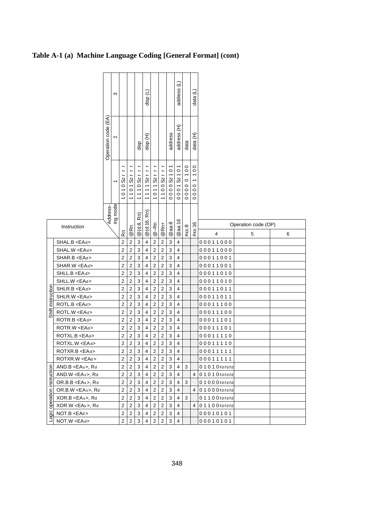# **Table A-1 (a) Machine Language Coding [General Format] (cont)**

|                             |                        |                     | ო        |                         |                         |                  | e<br>disp               |                         |                         |                   | address (L)             |                                                     | Э<br>data                                |                |                          |   |
|-----------------------------|------------------------|---------------------|----------|-------------------------|-------------------------|------------------|-------------------------|-------------------------|-------------------------|-------------------|-------------------------|-----------------------------------------------------|------------------------------------------|----------------|--------------------------|---|
|                             |                        | Operation code (EA) | $\sim$   |                         |                         | disp             | disp (H)                |                         |                         | address           | £<br>address            | data                                                | data (H)                                 |                |                          |   |
|                             |                        |                     |          | 01052111                | Sz<br>101               | L<br>L<br>1110Sz | 111152111               | 011Sz                   | 100Sz                   | 101<br>Sz<br>0000 | 101<br>00015z           | $\overline{0}$<br>$\overline{ }$<br>$\circ$<br>0000 | $\circ$<br>$\circ$<br>$\circ$<br>$\circ$ |                |                          |   |
|                             | Instruction            |                     | Address- | ۴                       | @Rn                     | Rn)<br>$@$ (d:8, | Rn)<br>@ (d:16,         | $@ - Rn$                | @Rn+                    | @aa:8             | @aa:16                  | #xx:8                                               | #xx:16                                   | 4              | Operation code (OP)<br>5 | 6 |
|                             | SHAL.B <ead></ead>     |                     |          | $\overline{\mathbf{c}}$ | $\sqrt{2}$              | 3                | $\pmb{4}$               | $\sqrt{2}$              | $\overline{c}$          | 3                 | 4                       |                                                     |                                          | 00011000       |                          |   |
|                             | SHAL.W <ead></ead>     |                     |          | $\overline{2}$          | $\overline{c}$          | $\mathbf{3}$     | $\overline{\mathbf{4}}$ | $\overline{c}$          | $\overline{2}$          | 3                 | $\overline{4}$          |                                                     |                                          | 00011000       |                          |   |
|                             | SHAR.B <ead></ead>     |                     |          | 2                       | $\overline{\mathbf{c}}$ | 3                | 4                       | $\mathbf 2$             | $\overline{\mathbf{c}}$ | 3                 | 4                       |                                                     |                                          | 00011001       |                          |   |
|                             | SHAR.W <ead></ead>     |                     |          | 2                       | $\sqrt{2}$              | 3                | 4                       | $\overline{\mathbf{c}}$ | $\overline{\mathbf{c}}$ | 3                 | $\overline{\mathbf{4}}$ |                                                     |                                          | 00011001       |                          |   |
|                             | SHLL.B <ead></ead>     |                     |          | $\overline{\mathbf{c}}$ | $\boldsymbol{2}$        | 3                | $\overline{\mathbf{4}}$ | $\mathbf 2$             | $\overline{\mathbf{c}}$ | 3                 | 4                       |                                                     |                                          | 00011010       |                          |   |
|                             | SHLL.W <ead></ead>     |                     |          | 2                       | $\mathbf 2$             | 3                | $\pmb{4}$               | $\mathbf 2$             | $\overline{\mathbf{c}}$ | 3                 | $\overline{\mathbf{4}}$ |                                                     |                                          | 00011010       |                          |   |
|                             | SHLR.B <ead></ead>     |                     |          | $\overline{\mathbf{c}}$ | $\boldsymbol{2}$        | 3                | $\overline{\mathbf{4}}$ | $\overline{c}$          | $\mathbf 2$             | 3                 | $\overline{4}$          |                                                     |                                          | 00011011       |                          |   |
|                             | SHLR.W <ead></ead>     |                     |          | $\overline{\mathbf{c}}$ | $\boldsymbol{2}$        | 3                | $\overline{\mathbf{4}}$ | $\overline{c}$          | $\overline{2}$          | 3                 | 4                       |                                                     |                                          | 00011011       |                          |   |
|                             | ROTL.B <ead></ead>     |                     |          | $\overline{c}$          | $\overline{2}$          | 3                | $\overline{\mathbf{4}}$ | $\overline{2}$          | $\overline{2}$          | 3                 | $\overline{4}$          |                                                     |                                          | 00011100       |                          |   |
| Shift instruction           | ROTL.W <ead></ead>     |                     |          | $\overline{\mathbf{c}}$ | $\sqrt{2}$              | 3                | 4                       | 2                       | $\overline{c}$          | 3                 | $\overline{4}$          |                                                     |                                          | 00011100       |                          |   |
|                             | ROTR.B <ead></ead>     |                     |          | $\overline{c}$          | $\mathbf 2$             | 3                | $\overline{\mathbf{4}}$ | $\overline{\mathbf{c}}$ | $\overline{c}$          | 3                 | 4                       |                                                     |                                          | 00011101       |                          |   |
|                             | ROTR.W <ead></ead>     |                     |          | $\overline{2}$          | $\sqrt{2}$              | 3                | 4                       | $\overline{c}$          | $\overline{c}$          | 3                 | $\overline{4}$          |                                                     |                                          | 00011101       |                          |   |
|                             | ROTXL.B <ead></ead>    |                     |          | $\overline{\mathbf{c}}$ | $\sqrt{2}$              | 3                | $\overline{\mathbf{4}}$ | $\overline{c}$          | $\overline{c}$          | 3                 | $\overline{\mathbf{4}}$ |                                                     |                                          | 00011110       |                          |   |
|                             | ROTXL.W <ead></ead>    |                     |          | $\overline{\mathbf{c}}$ | $\mathbf 2$             | 3                | 4                       | $\overline{\mathbf{c}}$ | $\overline{c}$          | 3                 | 4                       |                                                     |                                          | 00011110       |                          |   |
|                             | ROTXR.B <ead></ead>    |                     |          | $\overline{2}$          | $\overline{2}$          | 3                | $\overline{\mathbf{4}}$ | $\mathbf 2$             | $\overline{2}$          | 3                 | $\overline{4}$          |                                                     |                                          | 00011111       |                          |   |
|                             | ROTXR.W <ead></ead>    |                     |          | $\overline{c}$          | 2                       | 3                | $\overline{\mathbf{4}}$ | $\mathbf 2$             | 2                       | 3                 | 4                       |                                                     |                                          | 00011111       |                          |   |
|                             | AND.B <eas>, Rd</eas>  |                     |          | $\overline{c}$          | $\mathbf 2$             | 3                | 4                       | $\overline{c}$          | $\overline{c}$          | 3                 | 4                       | 3                                                   |                                          | 01010rdrdrd    |                          |   |
|                             | AND.W <eas>, Rd</eas>  |                     |          | $\overline{\mathbf{c}}$ | $\sqrt{2}$              | 3                | 4                       | $\mathbf 2$             | $\overline{c}$          | 3                 | $\overline{4}$          |                                                     | 4                                        | 01010rdrdrd    |                          |   |
|                             | OR.B.B <eas>, Rd</eas> |                     |          | $\overline{c}$          | $\overline{2}$          | 3                | $\overline{\mathbf{4}}$ | $\mathbf 2$             | $\overline{2}$          | 3                 | 4                       | 3                                                   |                                          | $01000$ rdrdrd |                          |   |
| Logic operation instruction | OR.B.W <eas>, Rd</eas> |                     |          | $\overline{c}$          | $\overline{c}$          | $\mathsf 3$      | $\overline{\mathbf{4}}$ | $\overline{c}$          | $\overline{2}$          | 3                 | 4                       |                                                     | $\overline{4}$                           | $01000$ rdrdrd |                          |   |
|                             | XOR.B <eas>, Rd</eas>  |                     |          | $\overline{\mathbf{c}}$ | $\sqrt{2}$              | 3                | $\overline{\mathbf{4}}$ | $\mathbf 2$             | $\overline{c}$          | 3                 | 4                       | 3                                                   |                                          | $01100$ rdrdrd |                          |   |
|                             | XOR.W <eas>, Rd</eas>  |                     |          | $\overline{\mathbf{c}}$ | $\overline{2}$          | 3                | $\overline{\mathbf{4}}$ | $\overline{c}$          | $\overline{c}$          | 3                 | $\overline{4}$          |                                                     | 4                                        | 01100rdrdrd    |                          |   |
|                             | NOT.B <ead></ead>      |                     |          | $\overline{2}$          | $\boldsymbol{2}$        | 3                | 4                       | $\overline{\mathbf{c}}$ | $\overline{c}$          | 3                 | $\overline{4}$          |                                                     |                                          | 00010101       |                          |   |
|                             | NOT.W <ead></ead>      |                     |          | $\overline{2}$          | $\overline{c}$          | 3                | $\overline{\mathbf{4}}$ | $\overline{2}$          | $\overline{2}$          | 3                 | $\overline{4}$          |                                                     |                                          | 00010101       |                          |   |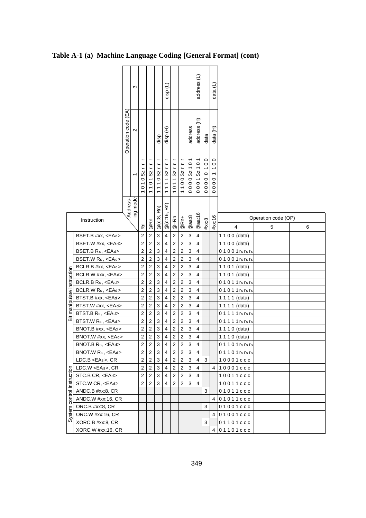## **Table A-1 (a) Machine Language Coding [General Format] (cont)**

|                            |                         |                     | S        |                         |                                        |               | €<br>disp               |                         |                |                                            | Э<br>address            |                                  | data $(L)$                                                                                                     |                         |                          |   |
|----------------------------|-------------------------|---------------------|----------|-------------------------|----------------------------------------|---------------|-------------------------|-------------------------|----------------|--------------------------------------------|-------------------------|----------------------------------|----------------------------------------------------------------------------------------------------------------|-------------------------|--------------------------|---|
|                            |                         | Operation code (EA) | $\sim$   |                         |                                        | disp          | E<br>disp               |                         |                | address                                    | £<br>address            | data                             | data (H)                                                                                                       |                         |                          |   |
|                            |                         |                     |          | L<br>010Sz              | Sz<br>$\overline{0}$<br>$\overline{1}$ | 1110Szr       | 11111Szr                | $\overline{a}$<br>011Sz | Sz<br>1100     | $\overline{0}$<br>$\overline{ }$<br>0000Sz | 000152101               | 100<br>$\circ$<br>000<br>$\circ$ | $\overline{0}$<br>$\overline{\phantom{0}}$<br>$\overline{\phantom{0}}$<br>$\circ$<br>$\overline{0}$<br>$\circ$ |                         |                          |   |
|                            | Instruction             |                     | Address- | ۵Ã                      | @Rn                                    | Rn)<br>@(d:8, | Rn)<br>@(d:16,          | $@-Rn$                  | @Rn+           | @aa:8                                      | @aa:16                  | #xx:8                            | #xx:16                                                                                                         | $\overline{\mathbf{4}}$ | Operation code (OP)<br>5 | 6 |
|                            | BSET.B #xx, <ead></ead> |                     |          | $\overline{2}$          | $\overline{c}$                         | 3             | 4                       | $\sqrt{2}$              | $\sqrt{2}$     | 3                                          | $\overline{\mathbf{4}}$ |                                  |                                                                                                                | 1 1 0 0 (data)          |                          |   |
|                            | BSET.W #xx, <ead></ead> |                     |          | $\overline{2}$          | $\overline{c}$                         | 3             | $\overline{\mathbf{4}}$ | $\sqrt{2}$              | $\sqrt{2}$     | 3                                          | 4                       |                                  |                                                                                                                | 1 1 0 0 (data)          |                          |   |
|                            | BSET.B Rs, <ead></ead>  |                     |          | $\overline{2}$          | 2                                      | 3             | 4                       | $\overline{2}$          | $\overline{2}$ | 3                                          | $\overline{4}$          |                                  |                                                                                                                | 0 1 0 0 1 rs rs rs      |                          |   |
|                            | BSET.W Rs, <ead></ead>  |                     |          | $\overline{2}$          | $\overline{\mathbf{c}}$                | 3             | 4                       | $\overline{c}$          | $\mathbf 2$    | 3                                          | $\overline{\mathbf{4}}$ |                                  |                                                                                                                | $0 1 0 0 1$ rs rs rs    |                          |   |
|                            | BCLR.B #xx, <ead></ead> |                     |          | $\overline{2}$          | $\overline{c}$                         | 3             | $\overline{\mathbf{4}}$ | $\overline{2}$          | $\overline{2}$ | 3                                          | $\overline{4}$          |                                  |                                                                                                                | 1 1 0 1 (data)          |                          |   |
|                            | BCLR.W #xx, <ead></ead> |                     |          | $\overline{2}$          | $\overline{2}$                         | 3             | $\overline{\mathbf{4}}$ | $\overline{2}$          | $\overline{2}$ | 3                                          | $\overline{\mathbf{4}}$ |                                  |                                                                                                                | 1 1 0 1 (data)          |                          |   |
|                            | BCLR.B Rs, <ead></ead>  |                     |          | $\overline{2}$          | $\overline{c}$                         | 3             | 4                       | $\overline{2}$          | $\sqrt{2}$     | 3                                          | 4                       |                                  |                                                                                                                | 01011rs rs rs           |                          |   |
|                            | BCLR.W Rs, <ead></ead>  |                     |          | $\overline{c}$          | $\overline{c}$                         | 3             | $\overline{\mathbf{4}}$ | $\sqrt{2}$              | $\mathbf 2$    | 3                                          | $\overline{\mathbf{4}}$ |                                  |                                                                                                                | 01011rs rs rs           |                          |   |
|                            | BTST.B #xx, <ead></ead> |                     |          | $\overline{2}$          | $\overline{c}$                         | 3             | 4                       | $\overline{c}$          | $\overline{c}$ | 3                                          | $\overline{4}$          |                                  |                                                                                                                | 1 1 1 1 (data)          |                          |   |
| manipulate instruction     | BTST.W #xx, <ead></ead> |                     |          | $\overline{c}$          | $\overline{c}$                         | 3             | 4                       | $\overline{c}$          | $\overline{c}$ | 3                                          | 4                       |                                  |                                                                                                                | 1 1 1 1 (data)          |                          |   |
|                            | BTST.B Rs, <ead></ead>  |                     |          | $\overline{2}$          | $\overline{c}$                         | 3             | 4                       | $\overline{2}$          | $\overline{c}$ | 3                                          | $\overline{\mathbf{4}}$ |                                  |                                                                                                                | 01111rs rs rs           |                          |   |
| 氙                          | BTST.W Rs, <ead></ead>  |                     |          | $\overline{2}$          | $\overline{c}$                         | 3             | 4                       | $\overline{2}$          | $\overline{c}$ | 3                                          | 4                       |                                  |                                                                                                                | 01111rs rs rs           |                          |   |
|                            | $BNOT.B$ #xx, $<EAd>$   |                     |          | $\overline{\mathbf{c}}$ | $\overline{\mathbf{c}}$                | 3             | 4                       | $\sqrt{2}$              | 2              | 3                                          | 4                       |                                  |                                                                                                                | 1 1 1 0 (data)          |                          |   |
|                            | BNOT.W #xx, <ead></ead> |                     |          | $\overline{2}$          | $\overline{c}$                         | 3             | 4                       | $\overline{c}$          | $\overline{c}$ | 3                                          | 4                       |                                  |                                                                                                                | 1 1 1 0 (data)          |                          |   |
|                            | BNOT.B Rs, <ead></ead>  |                     |          | $\overline{2}$          | $\overline{2}$                         | 3             | $\overline{\mathbf{4}}$ | $\overline{2}$          | $\overline{2}$ | 3                                          | $\overline{4}$          |                                  |                                                                                                                | 01101rs rs rs           |                          |   |
|                            | BNOT.W Rs, <ead></ead>  |                     |          | $\overline{2}$          | $\overline{c}$                         | 3             | 4                       | $\overline{2}$          | $\sqrt{2}$     | 3                                          | 4                       |                                  |                                                                                                                | 01101rs rs rs           |                          |   |
|                            | $LDC.B < EAs$ , $CR$    |                     |          | $\overline{\mathbf{c}}$ | $\overline{c}$                         | 3             | $\overline{\mathbf{4}}$ | $\sqrt{2}$              | $\overline{2}$ | 3                                          | $\overline{4}$          | 3                                |                                                                                                                | 10001ccc                |                          |   |
|                            | LDC.W <eas>, CR</eas>   |                     |          | $\overline{2}$          | $\overline{c}$                         | 3             | $\overline{\mathbf{4}}$ | $\overline{2}$          | $\overline{c}$ | 3                                          | $\overline{\mathbf{4}}$ |                                  | 4                                                                                                              | 10001ccc                |                          |   |
|                            | STC.B CR, <ead></ead>   |                     |          | $\overline{2}$          | $\overline{c}$                         | 3             | $\overline{\mathbf{4}}$ | $\overline{2}$          | $\overline{2}$ | 3                                          | $\overline{\mathbf{4}}$ |                                  |                                                                                                                | 10011ccc                |                          |   |
|                            | STC.W CR, <ead></ead>   |                     |          | $\overline{2}$          | $\overline{c}$                         | 3             | $\overline{\mathbf{4}}$ | $\overline{\mathbf{c}}$ | 2              | 3                                          | 4                       |                                  |                                                                                                                | 10011ccc                |                          |   |
| System control instruction | ANDC.B #xx:8, CR        |                     |          |                         |                                        |               |                         |                         |                |                                            |                         | 3                                |                                                                                                                | 01011ccc                |                          |   |
|                            | ANDC.W #xx:16, CR       |                     |          |                         |                                        |               |                         |                         |                |                                            |                         |                                  | $\overline{4}$                                                                                                 | 01011ccc                |                          |   |
|                            | ORC.B #xx:8, CR         |                     |          |                         |                                        |               |                         |                         |                |                                            |                         | 3                                |                                                                                                                | 01001ccc                |                          |   |
|                            | ORC.W #xx:16, CR        |                     |          |                         |                                        |               |                         |                         |                |                                            |                         |                                  | 4                                                                                                              | 01001ccc                |                          |   |
|                            | XORC.B #xx:8, CR        |                     |          |                         |                                        |               |                         |                         |                |                                            |                         | 3                                |                                                                                                                | 01101ccc                |                          |   |
|                            | XORC.W #xx:16, CR       |                     |          |                         |                                        |               |                         |                         |                |                                            |                         |                                  | $\overline{4}$                                                                                                 | 01101ccc                |                          |   |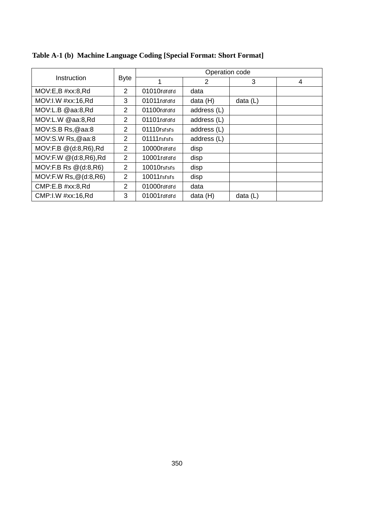|                             |               |              | Operation code |            |   |
|-----------------------------|---------------|--------------|----------------|------------|---|
| Instruction                 | <b>Byte</b>   |              | $\mathfrak{p}$ | 3          | 4 |
| MOV:E,B #xx:8, Rd           | 2             | 01010rdrdrd  | data           |            |   |
| MOV:I.W #xx:16,Rd           | 3             | 01011 rdrdrd | data (H)       | data $(L)$ |   |
| MOV:L.B @aa:8,Rd            | 2             | 01100rdrdrd  | address (L)    |            |   |
| MOV:L.W @aa:8,Rd            | 2             | 01101rdrdrd  | address (L)    |            |   |
| MOV: S.B Rs. @aa:8          | $\mathcal{P}$ | 01110rsrsrs  | address (L)    |            |   |
| MOV:S.W Rs,@aa:8            | 2             | 01111 rsrsrs | address (L)    |            |   |
| MOV:F.B @(d:8,R6),Rd        | $\mathcal{P}$ | 10000rdrdrd  | disp           |            |   |
| MOV:F.W @(d:8,R6),Rd        | 2             | 10001rdrdrd  | disp           |            |   |
| $MOV:FBRS \otimes (d:8,R6)$ | $\mathcal{P}$ | 10010rsrsrs  | disp           |            |   |
| MOV:F.W Rs, @(d:8,R6)       | 2             | 10011 rsrsrs | disp           |            |   |
| CMP:E.B #xx:8,Rd            | 2             | 01000rdrdrd  | data           |            |   |
| CMP: I.W #xx:16.Rd          | 3             | 01001rdrdrd  | data (H)       | data $(L)$ |   |

# **Table A-1 (b) Machine Language Coding [Special Format: Short Format]**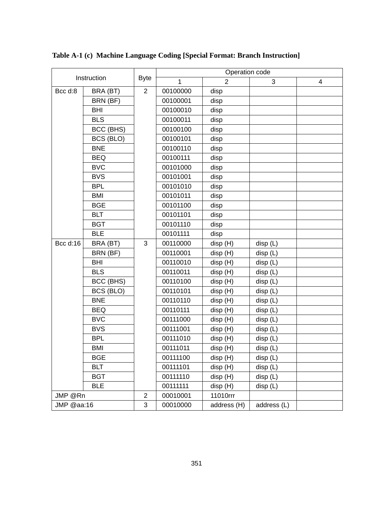|            |             |                |          | Operation code |             |   |
|------------|-------------|----------------|----------|----------------|-------------|---|
|            | Instruction | <b>Byte</b>    | 1        | $\mathcal{P}$  | 3           | 4 |
| Bcc d:8    | BRA (BT)    | $\overline{2}$ | 00100000 | disp           |             |   |
|            | BRN (BF)    |                | 00100001 | disp           |             |   |
|            | BHI         |                | 00100010 | disp           |             |   |
|            | <b>BLS</b>  |                | 00100011 | disp           |             |   |
|            | BCC (BHS)   |                | 00100100 | disp           |             |   |
|            | BCS (BLO)   |                | 00100101 | disp           |             |   |
|            | <b>BNE</b>  |                | 00100110 | disp           |             |   |
|            | <b>BEQ</b>  |                | 00100111 | disp           |             |   |
|            | <b>BVC</b>  |                | 00101000 | disp           |             |   |
|            | <b>BVS</b>  |                | 00101001 | disp           |             |   |
|            | <b>BPL</b>  |                | 00101010 | disp           |             |   |
|            | <b>BMI</b>  |                | 00101011 | disp           |             |   |
|            | <b>BGE</b>  |                | 00101100 | disp           |             |   |
|            | <b>BLT</b>  |                | 00101101 | disp           |             |   |
|            | <b>BGT</b>  |                | 00101110 | disp           |             |   |
|            | <b>BLE</b>  |                | 00101111 | disp           |             |   |
| Bcc d:16   | BRA (BT)    | 3              | 00110000 | disp (H)       | disp (L)    |   |
|            | BRN (BF)    |                | 00110001 | disp (H)       | disp (L)    |   |
|            | BHI         |                | 00110010 | disp (H)       | disp(L)     |   |
|            | <b>BLS</b>  |                | 00110011 | disp (H)       | disp (L)    |   |
|            | BCC (BHS)   |                | 00110100 | disp (H)       | disp (L)    |   |
|            | BCS (BLO)   |                | 00110101 | disp (H)       | disp(L)     |   |
|            | <b>BNE</b>  |                | 00110110 | disp (H)       | disp(L)     |   |
|            | <b>BEQ</b>  |                | 00110111 | disp (H)       | disp(L)     |   |
|            | <b>BVC</b>  |                | 00111000 | disp (H)       | disp(L)     |   |
|            | <b>BVS</b>  |                | 00111001 | disp (H)       | disp(L)     |   |
|            | <b>BPL</b>  |                | 00111010 | disp (H)       | disp (L)    |   |
|            | <b>BMI</b>  |                | 00111011 | disp (H)       | disp (L)    |   |
|            | <b>BGE</b>  |                | 00111100 | disp (H)       | disp(L)     |   |
|            | <b>BLT</b>  |                | 00111101 | disp (H)       | disp (L)    |   |
|            | <b>BGT</b>  |                | 00111110 | disp (H)       | disp(L)     |   |
|            | <b>BLE</b>  |                | 00111111 | disp (H)       | disp(L)     |   |
| JMP @Rn    |             | $\overline{2}$ | 00010001 | 11010rrr       |             |   |
| JMP @aa:16 |             | 3              | 00010000 | address (H)    | address (L) |   |

# **Table A-1 (c) Machine Language Coding [Special Format: Branch Instruction]**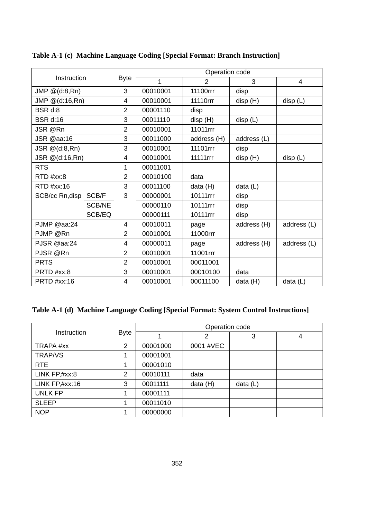|                              |        |                |          | Operation code       |             |             |
|------------------------------|--------|----------------|----------|----------------------|-------------|-------------|
| Instruction                  |        | <b>Byte</b>    | 1        | $\mathfrak{p}$       | 3           | 4           |
| JMP $@$ (d:8,Rn)             |        | 3              | 00010001 | 11100rrr             | disp        |             |
| JMP @(d:16,Rn)               |        | 4              | 00010001 | 11110rrr             | disp (H)    | disp(L)     |
| BSR d:8                      |        | $\overline{2}$ | 00001110 | disp                 |             |             |
| <b>BSR d:16</b>              |        | 3              | 00011110 | disp (H)             | disp(L)     |             |
| JSR @Rn                      |        | $\overline{2}$ | 00010001 | 11011rrr             |             |             |
| JSR @aa:16                   |        | 3              | 00011000 | address (H)          | address (L) |             |
| JSR @(d:8,Rn)                |        | 3              | 00010001 | 11101rrr             | disp        |             |
| JSR @(d:16,Rn)<br><b>RTS</b> |        | 4              | 00010001 | 11111 <sub>rrr</sub> | disp (H)    | disp(L)     |
|                              |        | 1              | 00011001 |                      |             |             |
| RTD #xx:8                    |        | $\overline{2}$ | 00010100 | data                 |             |             |
| $RTD$ #xx:16                 |        | 3              | 00011100 | data (H)             | data (L)    |             |
| SCB/cc Rn,disp               | SCB/F  | 3              | 00000001 | 10111rrr             | disp        |             |
|                              | SCB/NE |                | 00000110 | 10111rrr             | disp        |             |
|                              | SCB/EQ |                | 00000111 | 10111rrr             | disp        |             |
| PJMP @aa:24                  |        | 4              | 00010011 | page                 | address (H) | address (L) |
| PJMP @Rn                     |        | 2              | 00010001 | 11000rrr             |             |             |
| PJSR @aa:24                  |        | 4              | 00000011 | page                 | address (H) | address (L) |
| PJSR @Rn                     |        | 2              | 00010001 | 11001rrr             |             |             |
| <b>PRTS</b>                  |        | $\overline{2}$ | 00010001 | 00011001             |             |             |
| PRTD #xx:8                   |        | 3              | 00010001 | 00010100             | data        |             |
| PRTD #xx:16                  |        | 4              | 00010001 | 00011100             | data (H)    | data (L)    |

## **Table A-1 (c) Machine Language Coding [Special Format: Branch Instruction]**

## **Table A-1 (d) Machine Language Coding [Special Format: System Control Instructions]**

|                  |                |          | Operation code |            |   |
|------------------|----------------|----------|----------------|------------|---|
| Instruction      | <b>Byte</b>    |          | 2              | 3          | 4 |
| TRAPA #xx        | $\overline{2}$ | 00001000 | 0001 #VEC      |            |   |
| <b>TRAP/VS</b>   |                | 00001001 |                |            |   |
| RTE              | 1              | 00001010 |                |            |   |
| LINK $FP, #xx:8$ | $\overline{2}$ | 00010111 | data           |            |   |
| LINK FP, #xx:16  | 3              | 00011111 | data (H)       | data $(L)$ |   |
| <b>UNLK FP</b>   |                | 00001111 |                |            |   |
| <b>SLEEP</b>     | 1              | 00011010 |                |            |   |
| <b>NOP</b>       | 1              | 00000000 |                |            |   |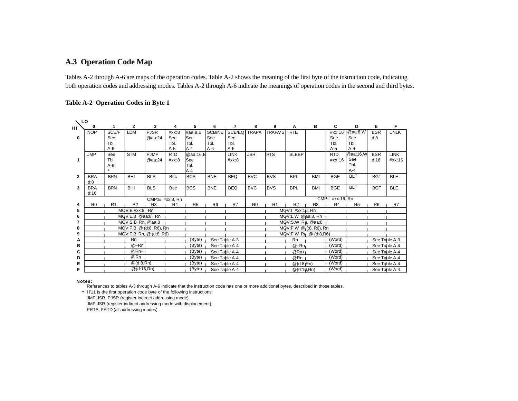# **A.3 Operation Code Map**

Tables A-2 through A-6 are maps of the operation codes. Table A-2 shows the meaning of the first byte of the instruction code, indicating both operation codes and addressing modes. Tables A-2 through A-6 indicate the meanings of operation codes in the second and third bytes.

### **Table A-2 Operation Codes in Byte 1**

| $\sqrt{2}$     |                |            |                   |                                     |                |                |                |                |                |                |                        |                        |                   |                |                |               |
|----------------|----------------|------------|-------------------|-------------------------------------|----------------|----------------|----------------|----------------|----------------|----------------|------------------------|------------------------|-------------------|----------------|----------------|---------------|
| нı             | 0              |            | $\mathbf{2}$      | 3                                   |                | 5              | 6              | $\overline{7}$ | 8              | 9              | Α                      | в                      | C                 | D              | Е              | F             |
|                | <b>NOP</b>     | SCB/F      | <b>LDM</b>        | <b>PJSR</b>                         | #xx:8          | #aa:8.B        | SCB/NE         | SCB/EQ         | <b>TRAPA</b>   | <b>TRAP/VS</b> | <b>RTE</b>             |                        | #xx:16            | @aa:8.W        | <b>BSR</b>     | <b>UNLK</b>   |
| 0              |                | See        |                   | @aa:24                              | See            | <b>See</b>     | See            | See            |                |                |                        |                        | See               | See            | d:8            |               |
|                |                | Tbl.       |                   |                                     | Tbl.           | lТы.           | Tbl.           | Tbl.           |                |                |                        |                        | Tbl.              | Tbl.           |                |               |
|                |                | $A-6$      |                   |                                     | $A-5$          | <b>JA-4</b>    | $A-6$          | A-6            |                |                |                        |                        | $A-5$             | $A-4$          |                |               |
|                | <b>JMP</b>     | See        | <b>STM</b>        | <b>PJMP</b>                         | <b>RTD</b>     | @aa:16.B       |                | <b>LINK</b>    | <b>JSR</b>     | <b>IRTS</b>    | <b>SLEEP</b>           |                        | <b>RTD</b>        | @aa:16.W       | <b>BSR</b>     | <b>LINK</b>   |
| 1              |                | Tbl.       |                   | @aa:24                              | #xx:8          | <b>See</b>     |                | #xx:8          |                |                |                        |                        | #xx:16            | See            | d:16           | #xx:16        |
|                |                | $A-6$      |                   |                                     |                | Tbl.           |                |                |                |                |                        |                        |                   | Tbl.           |                |               |
|                |                | $*$        |                   |                                     |                | A-4            |                |                |                |                |                        |                        |                   | $A-4$          |                |               |
| $\overline{2}$ | <b>BRA</b>     | <b>BRN</b> | BHI               | <b>BLS</b>                          | Bcc            | <b>BCS</b>     | <b>BNE</b>     | <b>BEQ</b>     | <b>BVC</b>     | <b>BVS</b>     | <b>BPL</b>             | BMI                    | <b>BGE</b>        | <b>BLT</b>     | <b>BGT</b>     | <b>BLE</b>    |
|                | d:8            |            |                   |                                     |                |                |                |                |                |                |                        |                        |                   |                |                |               |
| 3              | <b>BRA</b>     | <b>BRN</b> | BHI               | <b>BLS</b>                          | <b>Bcc</b>     | <b>BCS</b>     | <b>BNE</b>     | <b>BEQ</b>     | <b>BVC</b>     | <b>BVS</b>     | <b>BPL</b>             | BMI                    | <b>BGE</b>        | <b>BLT</b>     | <b>BGT</b>     | <b>BLE</b>    |
|                | d:16           |            |                   |                                     |                |                |                |                |                |                |                        |                        |                   |                |                |               |
|                |                |            |                   | CMP:E #xx:8, Rn                     |                |                |                |                |                |                |                        |                        | CMP:  #xx: 16, Rn |                |                |               |
| 4              | R <sub>0</sub> | R1         | R2                | R <sub>3</sub>                      | R <sub>4</sub> | R <sub>5</sub> | R <sub>6</sub> | R7             | R <sub>0</sub> | R <sub>1</sub> | R <sub>2</sub>         | R <sub>3</sub>         | R4                | R <sub>5</sub> | R <sub>6</sub> | R7            |
| 5              |                |            | $MQV: E #xx:8$ Rn |                                     |                |                |                |                |                |                | $MQV:1$ #xx:1 $6$ , Rn |                        |                   |                |                |               |
| 6              |                |            | MQV:L.B @aa:8, Rn |                                     |                |                |                |                |                |                | MQV:L.W @pa:8, Rn      |                        |                   |                |                |               |
|                |                |            | MQV:S.B Rn @aa:8  |                                     |                |                |                |                |                |                | MQV:S.W Rn, @aa:8      |                        |                   |                |                |               |
| 8              |                |            |                   | MQV:F.B @ (d:8, R6), Rn             |                |                |                |                |                |                |                        | MQV: F.W @ (3, R6), Rn |                   |                |                |               |
| 9              |                |            |                   | MQV:F.B Rn <sub>1</sub> @ (d:8, R6) |                |                |                |                |                |                |                        | MQV:F.W Rn, @ (d:8,R6) |                   |                |                |               |
| A              |                |            | Rn                |                                     |                | (Byte)         | See Table A-3  |                |                |                | <b>Rn</b>              |                        | (Word)            |                |                | See Table A-3 |
| в              |                |            | $@ - Rn$          |                                     |                | (Byte)         | See Table A-4  |                |                |                | $@ - Rn$               |                        | (Word)            |                | See Table A-4  |               |
| C              |                |            | $@Rn+1$           |                                     |                | (Byte)         | See Table A-4  |                |                |                | $@Rn+I$                |                        | (Word)            |                |                | See Table A-4 |
| D              |                |            | @Rn               |                                     |                | (Byte)         | See Table A-4  |                |                |                | @Rn                    |                        | (Word)            |                |                | See Table A-4 |
| Е              |                |            | $@$ (d:8, $Rn)$   |                                     |                | (Byte)         | See Table A-4  |                |                |                | $@$ (d:8,Rn)           |                        | (Word)            |                | See Table A-4  |               |
| F              |                |            | $@$ (d:16,Rn)     |                                     |                | (Byte)         | See Table A-4  |                |                |                |                        |                        | (Word)            |                |                |               |
|                |                |            |                   |                                     |                |                |                |                |                |                | $@$ (d:16,Rn)          |                        |                   |                |                | See Table A-4 |

#### **Notes:**

References to tables A-3 through A-6 indicate that the instruction code has one or more additional bytes, described in those tables.

H'11 is the first operation code byte of the following instructions: \*

JMP,JSR, PJSR (register indirect addressing mode)

JMP,JSR (register indirect addressing mode with displacement)

PRTS, PRTD (all addressing modes)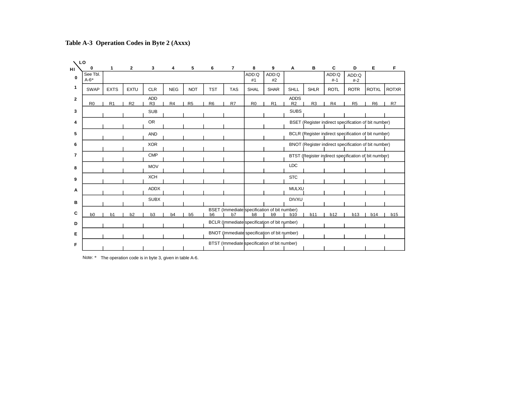**0 1 2 3 4 5 6 7 8 9 A B C D E F LO HI 1 2 3 4 5 6 7 8 9 A B C D E F 0** BSET (Immediate specification of bit number) b0 b1 b2 b3 b4 b5 b6 b7 b8 b9 b10 b11 b12 b13 b14 b15 R0 IR1 IR2 IR3 IR4 IR5 IR6 IR7 IR0 IR1 IR2 IR3 IR4 IR5 IR6 IR7 SWAP I EXTS I EXTU I CLR. I NEG I NOT I TST I TAS I SHAL I SHAR I SHLL I SHLR I ROTL I ROTR IROTXL IROTXR See Thi A-6\* SHLL ADD ADD:Q #1 ADD:Q #-1 ADD:Q #2 ADD:Q #-2 ADDS BSET (Register indirect specification of bit number) **STC** SUBS BCLR (Register indirect specification of bit number) BNOT (Register indirect specification of bit number) BTST (Register indirect specification of bit number) LDC DIVXU MULXU XCH SUB OR AND XOR CMP **MOV** ADDX SUBX BCLR (Immediate specification of bit number) BNOT (Immediate specification of bit number) BTST (Immediate specification of bit number)

**Table A-3 Operation Codes in Byte 2 (Axxx)**

Note: \* The operation code is in byte 3, given in table A-6.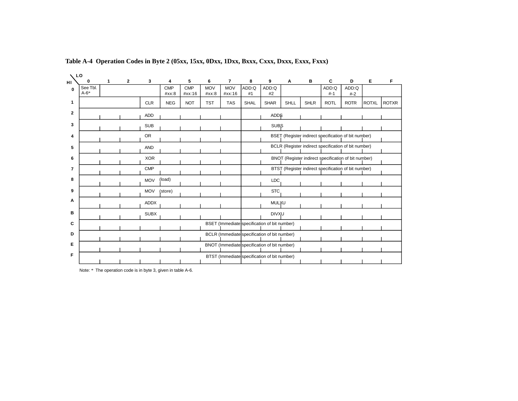| LO             |               |   |                |             |                 |                 |                 |                              |             |                                              |      |             |             |                                                      |              |              |
|----------------|---------------|---|----------------|-------------|-----------------|-----------------|-----------------|------------------------------|-------------|----------------------------------------------|------|-------------|-------------|------------------------------------------------------|--------------|--------------|
| н١             | 0<br>See Tbl. | 1 | $\overline{2}$ | 3           | 4<br><b>CMP</b> | 5<br><b>CMP</b> | 6<br><b>MOV</b> | $\overline{7}$<br><b>MOV</b> | 8<br>ADD:Q  | 9<br>ADD:Q                                   | Α    | в           | C<br>ADD:Q  | D<br>ADD:Q                                           | Е            | F            |
| $\mathbf 0$    | $A-6*$        |   |                |             | #xx:8           | #xx:16          | #xx:8           | #xx:16                       | #1          | #2                                           |      |             | $# - 1$     | $# - 2$                                              |              |              |
| 1              |               |   |                | <b>CLR</b>  | <b>NEG</b>      | <b>NOT</b>      | <b>TST</b>      | <b>TAS</b>                   | <b>SHAL</b> | <b>SHAR</b>                                  | SHLL | <b>SHLR</b> | <b>ROTL</b> | <b>ROTR</b>                                          | <b>ROTXL</b> | <b>ROTXR</b> |
| $\mathbf{2}$   |               |   |                | <b>ADD</b>  |                 |                 |                 |                              |             | ADD\$                                        |      |             |             |                                                      |              |              |
| 3              |               |   |                | <b>SUB</b>  |                 |                 |                 |                              |             | <b>SUBS</b>                                  |      |             |             |                                                      |              |              |
| 4              |               |   |                | <b>OR</b>   |                 |                 |                 |                              |             |                                              |      |             |             | BSET (Register indirect specification of bit number) |              |              |
| 5              |               |   |                | <b>AND</b>  |                 |                 |                 |                              |             |                                              |      |             |             | BCLR (Register indirect specification of bit number) |              |              |
| 6              |               |   |                | <b>XOR</b>  |                 |                 |                 |                              |             |                                              |      |             |             | BNOT (Register indirect specification of bit number) |              |              |
| $\overline{7}$ |               |   |                | <b>CMP</b>  |                 |                 |                 |                              |             |                                              |      |             |             | BTST (Register indirect specification of bit number) |              |              |
| 8              |               |   |                | <b>MOV</b>  | (load)          |                 |                 |                              |             | <b>LDC</b>                                   |      |             |             |                                                      |              |              |
| 9              |               |   |                | <b>MOV</b>  | (store)         |                 |                 |                              |             | <b>STC</b>                                   |      |             |             |                                                      |              |              |
| Α              |               |   |                | <b>ADDX</b> |                 |                 |                 |                              |             | <b>MULXU</b>                                 |      |             |             |                                                      |              |              |
| в              |               |   |                | <b>SUBX</b> |                 |                 |                 |                              |             | <b>DIVXU</b>                                 |      |             |             |                                                      |              |              |
| C              |               |   |                |             |                 |                 |                 |                              |             | BSET (Immediate specification of bit number) |      |             |             |                                                      |              |              |
| D              |               |   |                |             |                 |                 |                 |                              |             | BCLR (Immediate specification of bit number) |      |             |             |                                                      |              |              |
| Е              |               |   |                |             |                 |                 |                 |                              |             | BNOT (Immediate specification of bit number) |      |             |             |                                                      |              |              |
| F              |               |   |                |             |                 |                 |                 |                              |             | BTST (Immediate specification of bit number) |      |             |             |                                                      |              |              |
|                |               |   |                |             |                 |                 |                 |                              |             |                                              |      |             |             |                                                      |              |              |

**Table A-4 Operation Codes in Byte 2 (05xx, 15xx, 0Dxx, 1Dxx, Bxxx, Cxxx, Dxxx, Exxx, Fxxx)**

Note: \* The operation code is in byte 3, given in table A-6.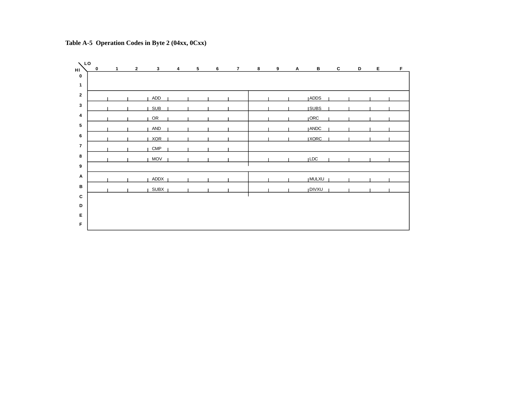

# **Table A-5 Operation Codes in Byte 2 (04xx, 0Cxx)**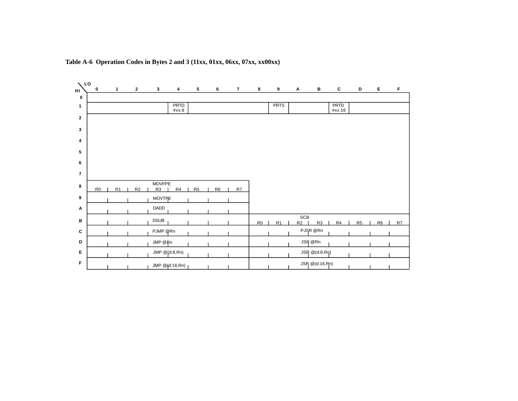

### **Table A-6 Operation Codes in Bytes 2 and 3 (11xx, 01xx, 06xx, 07xx, xx00xx)**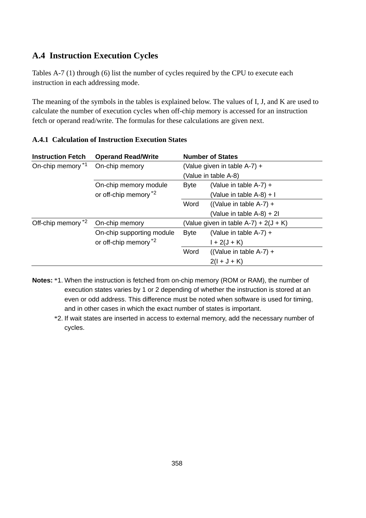# **A.4 Instruction Execution Cycles**

Tables A-7 (1) through (6) list the number of cycles required by the CPU to execute each instruction in each addressing mode.

The meaning of the symbols in the tables is explained below. The values of I, J, and K are used to calculate the number of execution cycles when off-chip memory is accessed for an instruction fetch or operand read/write. The formulas for these calculations are given next.

| <b>Instruction Fetch</b> | <b>Operand Read/Write</b>        | <b>Number of States</b> |                                         |  |  |  |  |
|--------------------------|----------------------------------|-------------------------|-----------------------------------------|--|--|--|--|
| On-chip memory *1        | On-chip memory                   |                         | (Value given in table $A-7$ ) +         |  |  |  |  |
|                          |                                  |                         | (Value in table A-8)                    |  |  |  |  |
|                          | On-chip memory module            | Byte                    | (Value in table $A-7$ ) +               |  |  |  |  |
|                          | or off-chip memory <sup>*2</sup> |                         | (Value in table $A-8$ ) + I             |  |  |  |  |
|                          |                                  | Word                    | ((Value in table A-7) +                 |  |  |  |  |
|                          |                                  |                         | (Value in table $A-8$ ) + 2l            |  |  |  |  |
| Off-chip memory *2       | On-chip memory                   |                         | (Value given in table A-7) + $2(J + K)$ |  |  |  |  |
|                          | On-chip supporting module        | <b>Byte</b>             | (Value in table $A-7$ ) +               |  |  |  |  |
|                          | or off-chip memory <sup>*2</sup> |                         | $1 + 2(J + K)$                          |  |  |  |  |
|                          |                                  | Word                    | $((Value in table A-7) +$               |  |  |  |  |
|                          |                                  |                         | $2(l + J + K)$                          |  |  |  |  |

## **A.4.1 Calculation of Instruction Execution States**

- **Notes:** \*1. When the instruction is fetched from on-chip memory (ROM or RAM), the number of execution states varies by 1 or 2 depending of whether the instruction is stored at an even or odd address. This difference must be noted when software is used for timing, and in other cases in which the exact number of states is important.
	- \*2. If wait states are inserted in access to external memory, add the necessary number of cycles.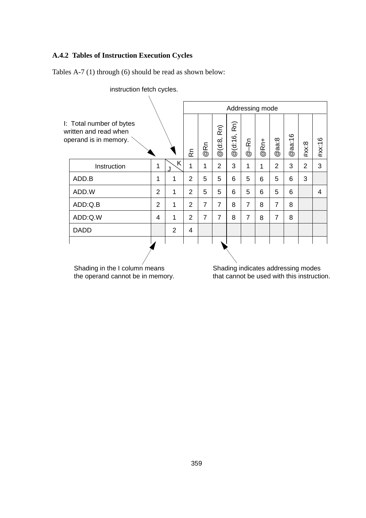## **A.4.2 Tables of Instruction Execution Cycles**

Tables A-7 (1) through (6) should be read as shown below: J + K: Number of

| instruction fetch cycles.                                                  |                |                |                |                |                  |                  |                |      |                        |                             |                                    |        |
|----------------------------------------------------------------------------|----------------|----------------|----------------|----------------|------------------|------------------|----------------|------|------------------------|-----------------------------|------------------------------------|--------|
|                                                                            |                |                |                |                |                  | Addressing mode  |                |      |                        |                             |                                    |        |
| I: Total number of bytes<br>written and read when<br>operand is in memory. |                |                | ۶              | @Rn            | Rn)<br>@ (d:8, I | $@$ $(d:16, Rn)$ | $@ - Rn$       | @Rn+ | aa:8<br>$^{\circledR}$ | $a$ aa:16<br>$^{\circledR}$ | #xx:8                              | #xx:16 |
| Instruction                                                                | 1              | K              | 1              | 1              | $\overline{2}$   | 3                | 1              | 1    | 2                      | 3                           | $\overline{2}$                     | 3      |
| ADD.B                                                                      | 1              | 1              | $\overline{2}$ | 5              | 5                | 6                | 5              | 6    | 5                      | 6                           | 3                                  |        |
| ADD.W                                                                      | $\overline{2}$ | 1              | 2              | 5              | 5                | 6                | 5              | 6    | 5                      | 6                           |                                    | 4      |
| ADD:Q.B                                                                    | $\overline{2}$ | 1              | 2              | 7              | 7                | 8                | $\overline{7}$ | 8    | 7                      | 8                           |                                    |        |
| ADD:Q.W                                                                    | 4              | 1              | 2              | $\overline{7}$ | 7                | 8                | 7              | 8    | 7                      | 8                           |                                    |        |
| <b>DADD</b>                                                                |                | $\mathfrak{p}$ | 4              |                |                  |                  |                |      |                        |                             |                                    |        |
|                                                                            |                |                |                |                |                  |                  |                |      |                        |                             |                                    |        |
| Shading in the I column means                                              |                |                |                |                |                  |                  |                |      |                        |                             | Shading indicates addressing modes |        |

the operand cannot be in memory.

that cannot be used with this instruction.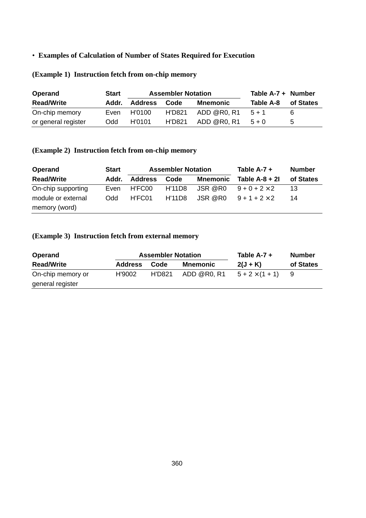## • **Examples of Calculation of Number of States Required for Execution**

| Operand             | Start      |         | <b>Assembler Notation</b> | Table $A-7 +$ Number |           |             |
|---------------------|------------|---------|---------------------------|----------------------|-----------|-------------|
| <b>Read/Write</b>   | Addr.      | Address | Code                      | Mnemonic             | Table A-8 | of States   |
| On-chip memory      | Even       | H'0100  | H'D821                    | ADD @R0. R1          | $5+1$     |             |
| or general register | <b>Odd</b> | H'0101  | H'D821                    | ADD @R0. R1          | $5 + 0$   | $\mathbf b$ |

# **(Example 1) Instruction fetch from on-chip memory**

# **(Example 2) Instruction fetch from on-chip memory**

| Operand            | <b>Start</b> |                | <b>Assembler Notation</b> | Table $A-7 +$ | <b>Number</b>        |           |
|--------------------|--------------|----------------|---------------------------|---------------|----------------------|-----------|
| <b>Read/Write</b>  | Addr.        | <b>Address</b> | Code                      | Mnemonic      | Table $A-8+2I$       | of States |
| On-chip supporting | Even         | H'FC00         | H'11D8                    | JSR @R0       | $9 + 0 + 2 \times 2$ | 13        |
| module or external | <b>Odd</b>   | H'FC01         | <b>H'11D8</b>             | JSR @R0       | $9 + 1 + 2 \times 2$ | 14        |
| memory (word)      |              |                |                           |               |                      |           |

## **(Example 3) Instruction fetch from external memory**

| Operand           |                | <b>Assembler Notation</b> |             | Table A-7 +            | <b>Number</b> |
|-------------------|----------------|---------------------------|-------------|------------------------|---------------|
| <b>Read/Write</b> | <b>Address</b> | Code                      | Mnemonic    | $2(J + K)$             | of States     |
| On-chip memory or | H'9002         | H'D821                    | ADD @R0. R1 | $5 + 2 \times (1 + 1)$ |               |
| general register  |                |                           |             |                        |               |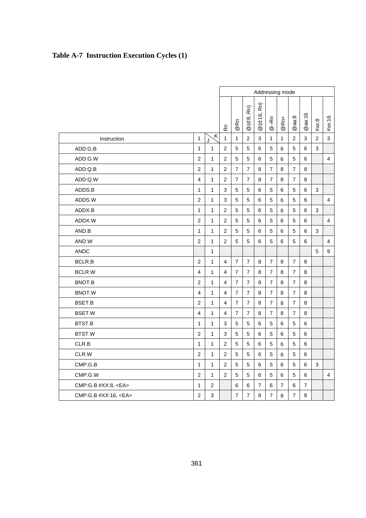|  | Table A-7 Instruction Execution Cycles (1) |  |  |  |  |
|--|--------------------------------------------|--|--|--|--|
|--|--------------------------------------------|--|--|--|--|

|                           |                |                | Addressing mode         |                |                  |                 |                |                |                |                |                |                         |
|---------------------------|----------------|----------------|-------------------------|----------------|------------------|-----------------|----------------|----------------|----------------|----------------|----------------|-------------------------|
|                           |                |                | æ                       | @Rn            | Rn)<br>$@$ (d:8, | Rn)<br>@ (d:16, | $@ -Rn$        | $@Rn+$         | @aa:8          | $@$ aa:16      | #xx:8          | #xx:16                  |
| Instruction               | $\mathbf{1}$   | Κ              | $\mathbf{1}$            | $\mathbf{1}$   | $\overline{2}$   | 3               | $\mathbf{1}$   | $\mathbf{1}$   | $\overline{2}$ | 3              | $\overline{2}$ | 3                       |
| ADD:G.B                   | $\mathbf{1}$   | $\mathbf{1}$   | $\overline{2}$          | 5              | 5                | 6               | 5              | 6              | 5              | 6              | 3              |                         |
| ADD:G.W                   | $\overline{2}$ | 1              | $\overline{2}$          | 5              | 5                | 6               | 5              | 6              | 5              | 6              |                | $\overline{\mathbf{4}}$ |
| ADD:Q.B                   | $\overline{2}$ | 1              | $\overline{2}$          | $\overline{7}$ | $\overline{7}$   | 8               | 7              | 8              | $\overline{7}$ | 8              |                |                         |
| ADD:Q.W                   | 4              | 1              | $\overline{2}$          | $\overline{7}$ | $\overline{7}$   | 8               | $\overline{7}$ | 8              | $\overline{7}$ | 8              |                |                         |
| ADDS.B                    | $\mathbf{1}$   | 1              | 3                       | 5              | 5                | 6               | 5              | 6              | 5              | 6              | 3              |                         |
| ADDS.W                    | 2              | 1              | 3                       | 5              | 5                | 6               | 5              | 6              | 5              | 6              |                | 4                       |
| ADDX.B                    | $\mathbf{1}$   | 1              | $\overline{2}$          | 5              | 5                | 6               | 5              | 6              | 5              | 6              | 3              |                         |
| ADDX.W                    | $\overline{2}$ | 1              | $\overline{2}$          | 5              | 5                | 6               | 5              | 6              | 5              | 6              |                | $\overline{4}$          |
| AND.B                     | $\mathbf{1}$   | $\mathbf{1}$   | $\overline{2}$          | 5              | 5                | 6               | 5              | 6              | 5              | 6              | 3              |                         |
| AND.W                     | $\overline{2}$ | 1              | $\overline{2}$          | 5              | 5                | 6               | 5              | 6              | 5              | 6              |                | $\overline{4}$          |
| <b>ANDC</b>               |                | $\mathbf{1}$   |                         |                |                  |                 |                |                |                |                | 5              | 9                       |
| <b>BCLR.B</b>             | $\overline{2}$ | 1              | $\overline{\mathbf{4}}$ | $\overline{7}$ | $\overline{7}$   | 8               | $\overline{7}$ | 8              | $\overline{7}$ | 8              |                |                         |
| BCLR.W                    | 4              | 1              | $\overline{4}$          | $\overline{7}$ | 7                | 8               | $\overline{7}$ | 8              | $\overline{7}$ | 8              |                |                         |
| BNOT.B                    | $\overline{2}$ | 1              | $\overline{4}$          | $\overline{7}$ | $\overline{7}$   | 8               | $\overline{7}$ | 8              | $\overline{7}$ | 8              |                |                         |
| BNOT.W                    | 4              | 1              | $\overline{\mathbf{4}}$ | $\overline{7}$ | $\overline{7}$   | 8               | $\overline{7}$ | 8              | $\overline{7}$ | 8              |                |                         |
| BSET.B                    | $\overline{2}$ | $\mathbf{1}$   | $\overline{4}$          | $\overline{7}$ | $\overline{7}$   | 8               | $\overline{7}$ | 8              | $\overline{7}$ | 8              |                |                         |
| BSET.W                    | 4              | 1              | $\overline{4}$          | $\overline{7}$ | 7                | 8               | $\overline{7}$ | 8              | $\overline{7}$ | 8              |                |                         |
| BTST.B                    | $\mathbf{1}$   | 1              | 3                       | 5              | 5                | 6               | 5              | 6              | 5              | 6              |                |                         |
| BTST.W                    | $\overline{2}$ | 1              | 3                       | 5              | 5                | 6               | 5              | 6              | 5              | 6              |                |                         |
| CLR.B                     | $\mathbf{1}$   | $\mathbf{1}$   | $\overline{2}$          | 5              | 5                | 6               | 5              | 6              | 5              | 6              |                |                         |
| CLR.W                     | $\overline{2}$ | 1              | $\overline{2}$          | 5              | 5                | 6               | 5              | 6              | 5              | 6              |                |                         |
| CMP:G.B                   | $\mathbf{1}$   | $\mathbf{1}$   | $\overline{2}$          | 5              | 5                | 6               | 5              | 6              | 5              | 6              | 3              |                         |
| CMP:G.W                   | $\overline{2}$ | 1              | $\overline{2}$          | 5              | 5                | 6               | 5              | 6              | 5              | 6              |                | $\overline{4}$          |
| CMP:G.B #XX:8, <ea></ea>  | $\mathbf{1}$   | $\overline{c}$ |                         | 6              | 6                | $\overline{7}$  | 6              | $\overline{7}$ | 6              | $\overline{7}$ |                |                         |
| CMP:G.B #XX:16, <ea></ea> | $\overline{2}$ | 3              |                         | $\overline{7}$ | $\overline{7}$   | 8               | 7              | 8              | $\overline{7}$ | 8              |                |                         |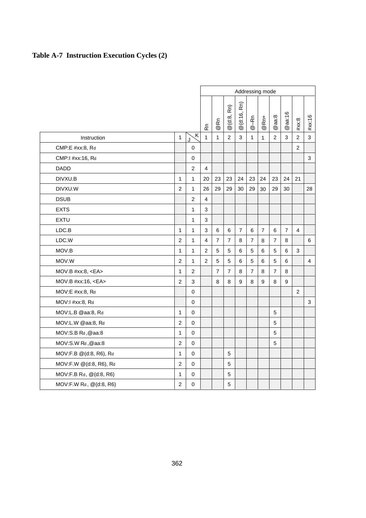# **Table A-7 Instruction Execution Cycles (2)**

|                         |                |                         |                |                |                | Addressing mode |                |                |                |                |                |                |
|-------------------------|----------------|-------------------------|----------------|----------------|----------------|-----------------|----------------|----------------|----------------|----------------|----------------|----------------|
|                         |                |                         | ۴ş             | @Rn            | @(d:8, Rn)     | Rn)<br>@(d:16,  | $@ - Rn$       | $@Rn+$         | @aa:8          | @aa:16         | #xx:8          | #xx:16         |
| Instruction             | $\mathbf{1}$   | $\overline{\mathsf{K}}$ | $\mathbf{1}$   | 1              | 2              | 3               | $\mathbf{1}$   | 1              | $\overline{2}$ | 3              | $\overline{2}$ | 3              |
| CMP:E #xx:8, Rd         |                | $\pmb{0}$               |                |                |                |                 |                |                |                |                | 2              |                |
| CMP:1 #xx:16, Rd        |                | $\mathsf 0$             |                |                |                |                 |                |                |                |                |                | 3              |
| DADD                    |                | $\overline{2}$          | $\overline{4}$ |                |                |                 |                |                |                |                |                |                |
| DIVXU.B                 | $\mathbf{1}$   | $\mathbf{1}$            | 20             | 23             | 23             | 24              | 23             | 24             | 23             | 24             | 21             |                |
| DIVXU.W                 | $\overline{2}$ | $\mathbf{1}$            | 26             | 29             | 29             | 30              | 29             | 30             | 29             | $30\,$         |                | 28             |
| <b>DSUB</b>             |                | $\overline{2}$          | 4              |                |                |                 |                |                |                |                |                |                |
| <b>EXTS</b>             |                | 1                       | 3              |                |                |                 |                |                |                |                |                |                |
| <b>EXTU</b>             |                | 1                       | 3              |                |                |                 |                |                |                |                |                |                |
| LDC.B                   | $\mathbf{1}$   | 1                       | 3              | 6              | 6              | $\overline{7}$  | 6              | $\overline{7}$ | 6              | $\overline{7}$ | $\overline{4}$ |                |
| LDC.W                   | $\overline{2}$ | 1                       | 4              | $\overline{7}$ | $\overline{7}$ | 8               | $\overline{7}$ | 8              | $\overline{7}$ | 8              |                | 6              |
| MOV.B                   | $\mathbf{1}$   | 1                       | $\overline{2}$ | 5              | 5              | 6               | 5              | 6              | 5              | 6              | 3              |                |
| MOV.W                   | $\overline{2}$ | 1                       | $\overline{2}$ | 5              | 5              | 6               | 5              | 6              | 5              | 6              |                | $\overline{4}$ |
| MOV.B $#xx:8, A$        | $\mathbf{1}$   | $\overline{2}$          |                | $\overline{7}$ | $\overline{7}$ | 8               | $\overline{7}$ | 8              | $\overline{7}$ | 8              |                |                |
| MOV.B #xx:16, <ea></ea> | $\overline{2}$ | 3                       |                | 8              | 8              | 9               | 8              | 9              | 8              | 9              |                |                |
| MOV:E #xx:8, Rd         |                | $\Omega$                |                |                |                |                 |                |                |                |                | 2              |                |
| MOV:I #xx:8, Rd         |                | $\mathbf 0$             |                |                |                |                 |                |                |                |                |                | 3              |
| MOV:L.B @aa:8, Rd       | $\mathbf{1}$   | $\mathbf 0$             | 5              |                |                |                 |                |                |                |                |                |                |
| MOV:L.W @aa:8, Rd       | $\overline{2}$ | $\mathbf 0$             | 5              |                |                |                 |                |                |                |                |                |                |
| MOV:S.B Rd,@aa:8        | $\mathbf{1}$   | $\mathbf 0$             | 5              |                |                |                 |                |                |                |                |                |                |
| MOV:S.W Rd,@aa:8        | $\overline{2}$ | $\mathbf 0$             | 5              |                |                |                 |                |                |                |                |                |                |
| MOV:F.B @(d:8, R6), Rd  | $\mathbf{1}$   | $\mathbf 0$             | 5              |                |                |                 |                |                |                |                |                |                |
| MOV:F.W @(d:8, R6), Rd  | $\overline{2}$ | 0                       | 5              |                |                |                 |                |                |                |                |                |                |
| MOV:F.B Rd, @(d:8, R6)  | $\mathbf{1}$   | $\mathbf 0$             | 5              |                |                |                 |                |                |                |                |                |                |
| MOV:F.W Rd, @(d:8, R6)  | $\overline{2}$ | $\mathbf 0$             |                |                | 5              |                 |                |                |                |                |                |                |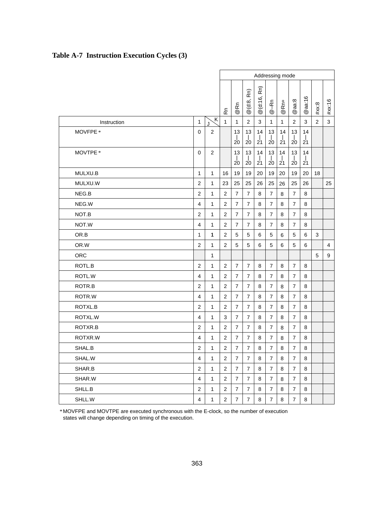|                     |                         |                | Addressing mode |                                         |                      |                          |                    |                      |                                    |                      |                |        |
|---------------------|-------------------------|----------------|-----------------|-----------------------------------------|----------------------|--------------------------|--------------------|----------------------|------------------------------------|----------------------|----------------|--------|
|                     |                         |                | æ               | @Rn                                     | Rn)<br>@(d:8,        | Rn)<br>@(d:16,           | $@ - Rn$           | $@Rn+$               | @aa:8                              | @aa:16               | #xx:8          | #xx:16 |
| Instruction         | $\mathbf{1}$            | ζK<br>J.       | $\mathbf{1}$    | $\mathbf{1}$                            | $\overline{2}$       | 3                        | $\mathbf{1}$       | $\mathbf{1}$         | $\overline{2}$                     | 3                    | $\overline{2}$ | 3      |
| MOVFPE <sup>*</sup> | 0                       | $\overline{2}$ |                 | 13<br>$\frac{1}{20}$                    | 13<br>$\frac{1}{20}$ | 14<br>$\frac{1}{21}$     | 13<br>$20^{\circ}$ | 14<br>$\frac{1}{21}$ | 13<br>$\frac{1}{20}$               | 14<br>$\frac{1}{21}$ |                |        |
| MOVTPE *            | 0                       | $\overline{2}$ |                 | 13<br>$\overline{1}$<br>$\overline{20}$ | 13<br>$20^{\circ}$   | 14<br>$\mathbf{I}$<br>21 | 13<br>$20^{\circ}$ | 14<br>$2^{1}1$       | 13<br>$\mathbf{I}$<br>$20^{\circ}$ | 14<br>21             |                |        |
| MULXU.B             | $\mathbf{1}$            | $\mathbf{1}$   | 16              | 19                                      | 19                   | 20                       | 19                 | 20                   | 19                                 | 20                   | 18             |        |
| MULXU.W             | $\overline{c}$          | $\mathbf{1}$   | 23              | 25                                      | 25                   | 26                       | 25                 | 26                   | 25                                 | 26                   |                | 25     |
| NEG.B               | $\overline{c}$          | $\mathbf{1}$   | 2               | $\overline{7}$                          | $\overline{7}$       | 8                        | $\overline{7}$     | 8                    | $\overline{7}$                     | 8                    |                |        |
| NEG.W               | 4                       | $\mathbf{1}$   | $\overline{2}$  | $\overline{7}$                          | $\overline{7}$       | 8                        | $\overline{7}$     | 8                    | $\overline{7}$                     | 8                    |                |        |
| NOT.B               | $\overline{2}$          | $\mathbf{1}$   | $\overline{2}$  | $\overline{7}$                          | $\overline{7}$       | 8                        | $\overline{7}$     | 8                    | $\overline{7}$                     | 8                    |                |        |
| NOT.W               | $\overline{\mathbf{4}}$ | $\mathbf{1}$   | $\overline{2}$  | $\overline{7}$                          | 7                    | 8                        | 7                  | 8                    | $\overline{7}$                     | 8                    |                |        |
| OR.B                | $\mathbf{1}$            | $\mathbf{1}$   | $\overline{2}$  | 5                                       | 5                    | 6                        | 5                  | 6                    | 5                                  | 6                    | 3              |        |
| OR.W                | $\overline{2}$          | $\mathbf{1}$   | $\overline{2}$  | 5                                       | 5                    | 6                        | 5                  | 6                    | 5                                  | 6                    |                | 4      |
| <b>ORC</b>          |                         | $\mathbf{1}$   |                 |                                         |                      |                          |                    |                      |                                    |                      | 5              | 9      |
| ROTL.B              | $\overline{c}$          | $\mathbf{1}$   | 2               | $\overline{7}$                          | $\overline{7}$       | 8                        | $\overline{7}$     | 8                    | $\overline{7}$                     | 8                    |                |        |
| ROTL.W              | $\overline{\mathbf{4}}$ | $\mathbf{1}$   | $\overline{2}$  | $\overline{7}$                          | $\overline{7}$       | 8                        | $\overline{7}$     | 8                    | $\overline{7}$                     | 8                    |                |        |
| ROTR.B              | $\overline{c}$          | 1              | $\overline{c}$  | $\overline{7}$                          | 7                    | 8                        | 7                  | 8                    | $\overline{7}$                     | 8                    |                |        |
| ROTR.W              | $\overline{\mathbf{4}}$ | $\mathbf{1}$   | $\overline{2}$  | $\overline{7}$                          | $\overline{7}$       | 8                        | $\overline{7}$     | 8                    | $\overline{7}$                     | 8                    |                |        |
| ROTXL.B             | $\overline{2}$          | $\mathbf{1}$   | $\overline{2}$  | $\overline{7}$                          | $\overline{7}$       | 8                        | $\overline{7}$     | 8                    | $\overline{7}$                     | 8                    |                |        |
| ROTXL.W             | $\overline{\mathbf{4}}$ | $\mathbf{1}$   | 3               | $\overline{7}$                          | $\overline{7}$       | 8                        | $\overline{7}$     | 8                    | $\overline{7}$                     | 8                    |                |        |
| ROTXR.B             | $\overline{2}$          | $\mathbf{1}$   | $\overline{2}$  | $\overline{7}$                          | $\overline{7}$       | 8                        | $\overline{7}$     | 8                    | $\overline{7}$                     | 8                    |                |        |
| ROTXR.W             | $\overline{\mathbf{4}}$ | $\mathbf{1}$   | $\overline{2}$  | $\overline{7}$                          | $\overline{7}$       | 8                        | $\overline{7}$     | 8                    | $\overline{7}$                     | 8                    |                |        |
| SHAL.B              | $\overline{c}$          | 1              | 2               | 7                                       | 7                    | 8                        | $\overline{7}$     | 8                    | $\overline{7}$                     | 8                    |                |        |
| SHAL.W              | $\overline{\mathbf{4}}$ | $\mathbf{1}$   | $\overline{2}$  | $\overline{7}$                          | $\overline{7}$       | 8                        | $\overline{7}$     | 8                    | $\overline{7}$                     | 8                    |                |        |
| SHAR.B              | $\overline{2}$          | $\mathbf{1}$   | $\overline{2}$  | $\overline{7}$                          | $\overline{7}$       | 8                        | $\overline{7}$     | 8                    | $\overline{7}$                     | 8                    |                |        |
| SHAR.W              | $\overline{\mathbf{4}}$ | $\mathbf{1}$   | $\overline{2}$  | $\overline{7}$                          | $\overline{7}$       | 8                        | $\overline{7}$     | 8                    | $\overline{7}$                     | 8                    |                |        |
| SHLL.B              | 2                       | $\mathbf{1}$   | $\overline{2}$  | $\overline{7}$                          | 7                    | 8                        | 7                  | 8                    | $\overline{7}$                     | 8                    |                |        |
| SHLL.W              | $\overline{\mathbf{4}}$ | $\mathbf{1}$   | $\overline{2}$  | $\overline{7}$                          | $\overline{7}$       | 8                        | $\overline{7}$     | 8                    | $\overline{7}$                     | 8                    |                |        |

# **Table A-7 Instruction Execution Cycles (3)**

MOVFPE and MOVTPE are executed synchronous with the E-clock, so the number of execution \* states will change depending on timing of the execution.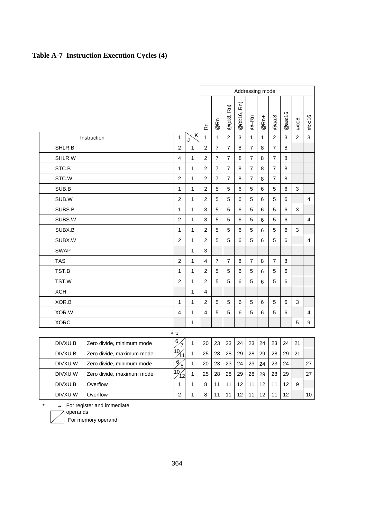# **Table A-7 Instruction Execution Cycles (4)**

|             |                            |                                 |              | Addressing mode |                      |                  |                   |                      |                             |                |                         |                |                |
|-------------|----------------------------|---------------------------------|--------------|-----------------|----------------------|------------------|-------------------|----------------------|-----------------------------|----------------|-------------------------|----------------|----------------|
|             |                            |                                 |              | ۵Ã              | Rñ<br>$^{\circledR}$ | Rn)<br>@ (d:8, 1 | Rn)<br>@ (d:16, I | နု<br>$^{\circledR}$ | $\vec{R}$<br>$^{\circledR}$ | @aa:8          | aa:16<br>$^{\circledR}$ | #xx:8          | #xx:16         |
|             | Instruction                | $\mathbf{1}$                    | Κ            | $\mathbf{1}$    | $\mathbf{1}$         | $\overline{2}$   | 3                 | $\mathbf{1}$         | $\mathbf{1}$                | $\overline{2}$ | 3                       | $\overline{2}$ | 3              |
| SHLR.B      |                            | $\overline{2}$                  | 1            | $\overline{2}$  | $\overline{7}$       | $\overline{7}$   | 8                 | $\overline{7}$       | 8                           | $\overline{7}$ | 8                       |                |                |
| SHLR.W      |                            | $\overline{4}$                  | 1            | $\overline{2}$  | 7                    | $\overline{7}$   | 8                 | 7                    | 8                           | $\overline{7}$ | 8                       |                |                |
| STC.B       |                            | 1                               | 1            | $\overline{2}$  | 7                    | $\overline{7}$   | 8                 | 7                    | 8                           | $\overline{7}$ | 8                       |                |                |
| STC.W       |                            | $\overline{2}$                  | 1            | $\overline{2}$  | $\overline{7}$       | $\overline{7}$   | 8                 | $\overline{7}$       | 8                           | $\overline{7}$ | 8                       |                |                |
| SUB.B       |                            | $\mathbf{1}$                    | 1            | $\overline{2}$  | 5                    | 5                | 6                 | 5                    | 6                           | 5              | 6                       | 3              |                |
| SUB.W       |                            | $\overline{2}$                  | 1            | $\overline{2}$  | 5                    | 5                | 6                 | 5                    | 6                           | 5              | 6                       |                | $\overline{4}$ |
| SUBS.B      |                            | 1                               | 1            | 3               | 5                    | 5                | 6                 | 5                    | 6                           | 5              | 6                       | 3              |                |
| SUBS.W      |                            | $\overline{2}$                  | 1            | 3               | 5                    | 5                | 6                 | 5                    | 6                           | 5              | 6                       |                | $\overline{4}$ |
| SUBX.B      |                            | 1                               | 1            | $\overline{2}$  | 5                    | 5                | 6                 | 5                    | 6                           | 5              | 6                       | 3              |                |
| SUBX.W      |                            | $\overline{2}$                  | 1            | $\overline{2}$  | 5                    | 5                | 6                 | 5                    | 6                           | 5              | 6                       |                | $\overline{4}$ |
| <b>SWAP</b> |                            |                                 | 1            | 3               |                      |                  |                   |                      |                             |                |                         |                |                |
| <b>TAS</b>  |                            | $\overline{2}$                  | 1            | 4               | $\overline{7}$       | $\overline{7}$   | 8                 | $\overline{7}$       | 8                           | $\overline{7}$ | 8                       |                |                |
| TST.B       |                            | $\mathbf{1}$                    | 1            | $\overline{2}$  | 5                    | 5                | 6                 | 5                    | 6                           | 5              | 6                       |                |                |
| TST.W       |                            | $\overline{2}$                  | 1            | $\overline{2}$  | 5                    | 5                | 6                 | 5                    | 6                           | 5              | 6                       |                |                |
| <b>XCH</b>  |                            |                                 | 1            | 4               |                      |                  |                   |                      |                             |                |                         |                |                |
| XOR.B       |                            | 1                               | 1            | $\overline{2}$  | 5                    | 5                | 6                 | 5                    | 6                           | 5              | 6                       | 3              |                |
| XOR.W       |                            | $\overline{4}$                  | 1            | 4               | 5                    | 5                | 6                 | 5                    | 6                           | 5              | 6                       |                | $\overline{4}$ |
| <b>XORC</b> |                            |                                 | 1            |                 |                      |                  |                   |                      |                             |                |                         | 5              | 9              |
|             |                            | $*$ $\neg$                      |              |                 |                      |                  |                   |                      |                             |                |                         |                |                |
| DIVXU.B     | Zero divide, minimum mode  | 6 <sub>2</sub><br>7             | $\mathbf{1}$ | 20              | 23                   | 23               | 24                | 23                   | 24                          | 23             | 24                      | 21             |                |
| DIVXU.B     | Zero divide, maximum mode  | $\frac{1}{10}$                  | 1            | 25              | 28                   | 28               | 29                | 28                   | 29                          | 28             | 29                      | 21             |                |
| DIVXU.W     | Zero divide, minimum mode  | 6 <sub>2</sub><br>$\frac{1}{8}$ | 1            | 20              | 23                   | 23               | 24                | 23                   | 24                          | 23             | 24                      |                | 27             |
| DIVXU.W     | Zero divide, maximum mode  | $\frac{1}{10}$ $\frac{1}{12}$   | $\mathbf{1}$ | 25              | 28                   | 28               | 29                | 28                   | 29                          | 28             | 29                      |                | 27             |
| DIVXU.B     | Overflow                   | 1                               | 1            | 8               | 11                   | 11               | 12                | 11                   | 12                          | 11             | 12                      | 9              |                |
| DIVXU.W     | Overflow                   | $\overline{c}$                  | 1            | 8               | 11                   | 11               | 12                | 11                   | 12                          | 11             | 12                      |                | 10             |
| *<br>Ц.     | For register and immediate |                                 |              |                 |                      |                  |                   |                      |                             |                |                         |                |                |

operands

For memory operand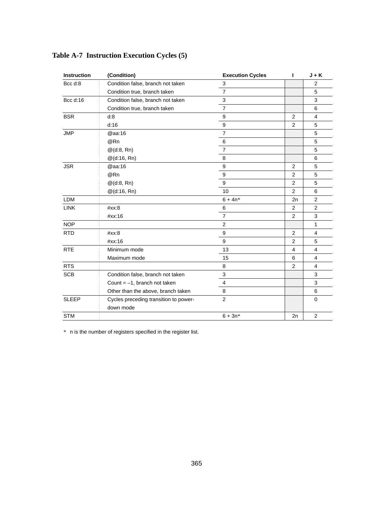| Instruction  | (Condition)                                        | <b>Execution Cycles</b> | т              | $J + K$        |
|--------------|----------------------------------------------------|-------------------------|----------------|----------------|
| Bcc d:8      | Condition false, branch not taken                  | 3                       |                | $\overline{2}$ |
|              | Condition true, branch taken                       | $\overline{7}$          |                | 5              |
| Bcc d:16     | Condition false, branch not taken                  | 3                       |                | 3              |
|              | Condition true, branch taken                       | $\overline{7}$          |                | 6              |
| <b>BSR</b>   | d:8                                                | 9                       | 2              | $\overline{4}$ |
|              | d:16                                               | 9                       | 2              | 5              |
| <b>JMP</b>   | @aa:16                                             | $\overline{7}$          |                | 5              |
|              | @Rn                                                | 6                       |                | 5              |
|              | $@$ (d:8, Rn)                                      | $\overline{7}$          |                | 5              |
|              | $@$ (d:16, Rn)                                     | 8                       |                | 6              |
| <b>JSR</b>   | @aa:16                                             | 9                       | 2              | 5              |
|              | @Rn                                                | 9                       | 2              | 5              |
|              | $@$ (d:8, Rn)                                      | 9                       | $\overline{2}$ | 5              |
|              | $@$ (d:16, Rn)                                     | 10                      | 2              | 6              |
| <b>LDM</b>   |                                                    | $6 + 4n*$               | 2n             | $\overline{2}$ |
| <b>LINK</b>  | #xx:8                                              | 6                       | $\overline{2}$ | $\overline{2}$ |
|              | #xx:16                                             | $\overline{7}$          | 2              | 3              |
| <b>NOP</b>   |                                                    | $\overline{2}$          |                | 1              |
| <b>RTD</b>   | #xx:8                                              | 9                       | 2              | $\overline{4}$ |
|              | #xx:16                                             | 9                       | 2              | 5              |
| <b>RTE</b>   | Minimum mode                                       | 13                      | $\overline{4}$ | $\overline{4}$ |
|              | Maximum mode                                       | 15                      | 6              | 4              |
| <b>RTS</b>   |                                                    | 8                       | $\overline{2}$ | 4              |
| <b>SCB</b>   | Condition false, branch not taken                  | 3                       |                | 3              |
|              | Count $= -1$ , branch not taken                    | $\overline{4}$          |                | 3              |
|              | Other than the above, branch taken                 | 8                       |                | 6              |
| <b>SLEEP</b> | Cycles preceding transition to power-<br>down mode | 2                       |                | $\mathbf 0$    |
| <b>STM</b>   |                                                    | $6 + 3n*$               | 2n             | $\overline{2}$ |

# **Table A-7 Instruction Execution Cycles (5)**

\* n is the number of registers specified in the register list.